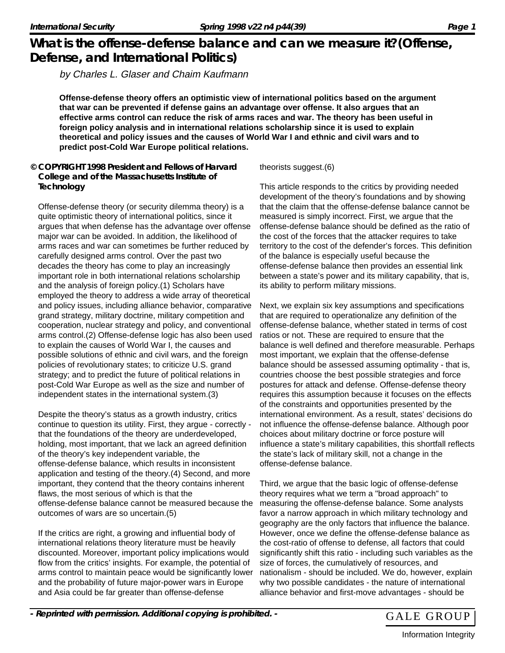by Charles L. Glaser and Chaim Kaufmann

**Offense-defense theory offers an optimistic view of international politics based on the argument that war can be prevented if defense gains an advantage over offense. It also argues that an effective arms control can reduce the risk of arms races and war. The theory has been useful in foreign policy analysis and in international relations scholarship since it is used to explain theoretical and policy issues and the causes of World War I and ethnic and civil wars and to predict post-Cold War Europe political relations.**

**© COPYRIGHT 1998 President and Fellows of Harvard College and of the Massachusetts Institute of Technology**

Offense-defense theory (or security dilemma theory) is a quite optimistic theory of international politics, since it argues that when defense has the advantage over offense major war can be avoided. In addition, the likelihood of arms races and war can sometimes be further reduced by carefully designed arms control. Over the past two decades the theory has come to play an increasingly important role in both international relations scholarship and the analysis of foreign policy.(1) Scholars have employed the theory to address a wide array of theoretical and policy issues, including alliance behavior, comparative grand strategy, military doctrine, military competition and cooperation, nuclear strategy and policy, and conventional arms control.(2) Offense-defense logic has also been used to explain the causes of World War I, the causes and possible solutions of ethnic and civil wars, and the foreign policies of revolutionary states; to criticize U.S. grand strategy; and to predict the future of political relations in post-Cold War Europe as well as the size and number of independent states in the international system.(3)

Despite the theory's status as a growth industry, critics continue to question its utility. First, they argue - correctly that the foundations of the theory are underdeveloped, holding, most important, that we lack an agreed definition of the theory's key independent variable, the offense-defense balance, which results in inconsistent application and testing of the theory.(4) Second, and more important, they contend that the theory contains inherent flaws, the most serious of which is that the offense-defense balance cannot be measured because the outcomes of wars are so uncertain.(5)

If the critics are right, a growing and influential body of international relations theory literature must be heavily discounted. Moreover, important policy implications would flow from the critics' insights. For example, the potential of arms control to maintain peace would be significantly lower and the probability of future major-power wars in Europe and Asia could be far greater than offense-defense

theorists suggest.(6)

This article responds to the critics by providing needed development of the theory's foundations and by showing that the claim that the offense-defense balance cannot be measured is simply incorrect. First, we argue that the offense-defense balance should be defined as the ratio of the cost of the forces that the attacker requires to take territory to the cost of the defender's forces. This definition of the balance is especially useful because the offense-defense balance then provides an essential link between a state's power and its military capability, that is, its ability to perform military missions.

Next, we explain six key assumptions and specifications that are required to operationalize any definition of the offense-defense balance, whether stated in terms of cost ratios or not. These are required to ensure that the balance is well defined and therefore measurable. Perhaps most important, we explain that the offense-defense balance should be assessed assuming optimality - that is, countries choose the best possible strategies and force postures for attack and defense. Offense-defense theory requires this assumption because it focuses on the effects of the constraints and opportunities presented by the international environment. As a result, states' decisions do not influence the offense-defense balance. Although poor choices about military doctrine or force posture will influence a state's military capabilities, this shortfall reflects the state's lack of military skill, not a change in the offense-defense balance.

Third, we argue that the basic logic of offense-defense theory requires what we term a "broad approach" to measuring the offense-defense balance. Some analysts favor a narrow approach in which military technology and geography are the only factors that influence the balance. However, once we define the offense-defense balance as the cost-ratio of offense to defense, all factors that could significantly shift this ratio - including such variables as the size of forces, the cumulatively of resources, and nationalism - should be included. We do, however, explain why two possible candidates - the nature of international alliance behavior and first-move advantages - should be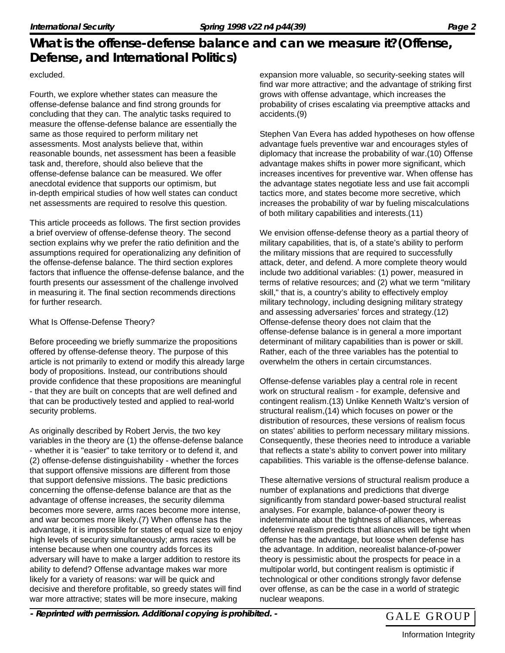excluded.

Fourth, we explore whether states can measure the offense-defense balance and find strong grounds for concluding that they can. The analytic tasks required to measure the offense-defense balance are essentially the same as those required to perform military net assessments. Most analysts believe that, within reasonable bounds, net assessment has been a feasible task and, therefore, should also believe that the offense-defense balance can be measured. We offer anecdotal evidence that supports our optimism, but in-depth empirical studies of how well states can conduct net assessments are required to resolve this question.

This article proceeds as follows. The first section provides a brief overview of offense-defense theory. The second section explains why we prefer the ratio definition and the assumptions required for operationalizing any definition of the offense-defense balance. The third section explores factors that influence the offense-defense balance, and the fourth presents our assessment of the challenge involved in measuring it. The final section recommends directions for further research.

What Is Offense-Defense Theory?

Before proceeding we briefly summarize the propositions offered by offense-defense theory. The purpose of this article is not primarily to extend or modify this already large body of propositions. Instead, our contributions should provide confidence that these propositions are meaningful - that they are built on concepts that are well defined and that can be productively tested and applied to real-world security problems.

As originally described by Robert Jervis, the two key variables in the theory are (1) the offense-defense balance - whether it is "easier" to take territory or to defend it, and (2) offense-defense distinguishability - whether the forces that support offensive missions are different from those that support defensive missions. The basic predictions concerning the offense-defense balance are that as the advantage of offense increases, the security dilemma becomes more severe, arms races become more intense, and war becomes more likely.(7) When offense has the advantage, it is impossible for states of equal size to enjoy high levels of security simultaneously; arms races will be intense because when one country adds forces its adversary will have to make a larger addition to restore its ability to defend? Offense advantage makes war more likely for a variety of reasons: war will be quick and decisive and therefore profitable, so greedy states will find war more attractive; states will be more insecure, making

expansion more valuable, so security-seeking states will find war more attractive; and the advantage of striking first grows with offense advantage, which increases the probability of crises escalating via preemptive attacks and accidents.(9)

Stephen Van Evera has added hypotheses on how offense advantage fuels preventive war and encourages styles of diplomacy that increase the probability of war.(10) Offense advantage makes shifts in power more significant, which increases incentives for preventive war. When offense has the advantage states negotiate less and use fait accompli tactics more, and states become more secretive, which increases the probability of war by fueling miscalculations of both military capabilities and interests.(11)

We envision offense-defense theory as a partial theory of military capabilities, that is, of a state's ability to perform the military missions that are required to successfully attack, deter, and defend. A more complete theory would include two additional variables: (1) power, measured in terms of relative resources; and (2) what we term "military skill," that is, a country's ability to effectively employ military technology, including designing military strategy and assessing adversaries' forces and strategy.(12) Offense-defense theory does not claim that the offense-defense balance is in general a more important determinant of military capabilities than is power or skill. Rather, each of the three variables has the potential to overwhelm the others in certain circumstances.

Offense-defense variables play a central role in recent work on structural realism - for example, defensive and contingent realism.(13) Unlike Kenneth Waltz's version of structural realism,(14) which focuses on power or the distribution of resources, these versions of realism focus on states' abilities to perform necessary military missions. Consequently, these theories need to introduce a variable that reflects a state's ability to convert power into military capabilities. This variable is the offense-defense balance.

These alternative versions of structural realism produce a number of explanations and predictions that diverge significantly from standard power-based structural realist analyses. For example, balance-of-power theory is indeterminate about the tightness of alliances, whereas defensive realism predicts that alliances will be tight when offense has the advantage, but loose when defense has the advantage. In addition, neorealist balance-of-power theory is pessimistic about the prospects for peace in a multipolar world, but contingent realism is optimistic if technological or other conditions strongly favor defense over offense, as can be the case in a world of strategic nuclear weapons.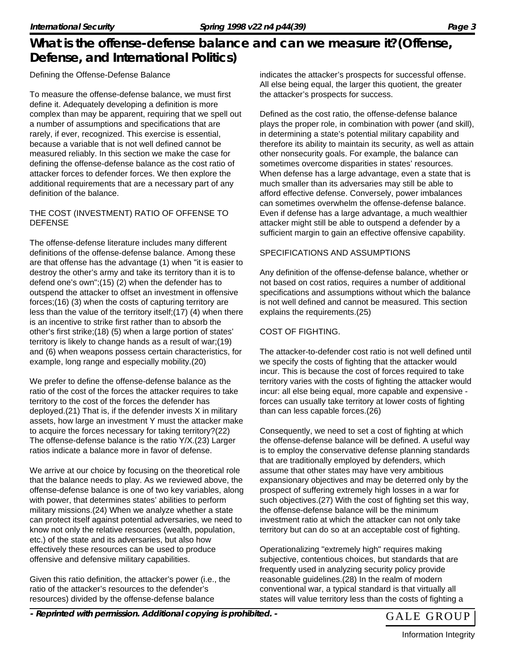## Defining the Offense-Defense Balance

To measure the offense-defense balance, we must first define it. Adequately developing a definition is more complex than may be apparent, requiring that we spell out a number of assumptions and specifications that are rarely, if ever, recognized. This exercise is essential, because a variable that is not well defined cannot be measured reliably. In this section we make the case for defining the offense-defense balance as the cost ratio of attacker forces to defender forces. We then explore the additional requirements that are a necessary part of any definition of the balance.

#### THE COST (INVESTMENT) RATIO OF OFFENSE TO DEFENSE

The offense-defense literature includes many different definitions of the offense-defense balance. Among these are that offense has the advantage (1) when "it is easier to destroy the other's army and take its territory than it is to defend one's own";(15) (2) when the defender has to outspend the attacker to offset an investment in offensive forces;(16) (3) when the costs of capturing territory are less than the value of the territory itself;(17) (4) when there is an incentive to strike first rather than to absorb the other's first strike;(18) (5) when a large portion of states' territory is likely to change hands as a result of war;(19) and (6) when weapons possess certain characteristics, for example, long range and especially mobility.(20)

We prefer to define the offense-defense balance as the ratio of the cost of the forces the attacker requires to take territory to the cost of the forces the defender has deployed.(21) That is, if the defender invests X in military assets, how large an investment Y must the attacker make to acquire the forces necessary for taking territory?(22) The offense-defense balance is the ratio Y/X.(23) Larger ratios indicate a balance more in favor of defense.

We arrive at our choice by focusing on the theoretical role that the balance needs to play. As we reviewed above, the offense-defense balance is one of two key variables, along with power, that determines states' abilities to perform military missions.(24) When we analyze whether a state can protect itself against potential adversaries, we need to know not only the relative resources (wealth, population, etc.) of the state and its adversaries, but also how effectively these resources can be used to produce offensive and defensive military capabilities.

Given this ratio definition, the attacker's power (i.e., the ratio of the attacker's resources to the defender's resources) divided by the offense-defense balance

indicates the attacker's prospects for successful offense. All else being equal, the larger this quotient, the greater the attacker's prospects for success.

Defined as the cost ratio, the offense-defense balance plays the proper role, in combination with power (and skill), in determining a state's potential military capability and therefore its ability to maintain its security, as well as attain other nonsecurity goals. For example, the balance can sometimes overcome disparities in states' resources. When defense has a large advantage, even a state that is much smaller than its adversaries may still be able to afford effective defense. Conversely, power imbalances can sometimes overwhelm the offense-defense balance. Even if defense has a large advantage, a much wealthier attacker might still be able to outspend a defender by a sufficient margin to gain an effective offensive capability.

#### SPECIFICATIONS AND ASSUMPTIONS

Any definition of the offense-defense balance, whether or not based on cost ratios, requires a number of additional specifications and assumptions without which the balance is not well defined and cannot be measured. This section explains the requirements.(25)

### COST OF FIGHTING.

The attacker-to-defender cost ratio is not well defined until we specify the costs of fighting that the attacker would incur. This is because the cost of forces required to take territory varies with the costs of fighting the attacker would incur: all else being equal, more capable and expensive forces can usually take territory at lower costs of fighting than can less capable forces.(26)

Consequently, we need to set a cost of fighting at which the offense-defense balance will be defined. A useful way is to employ the conservative defense planning standards that are traditionally employed by defenders, which assume that other states may have very ambitious expansionary objectives and may be deterred only by the prospect of suffering extremely high losses in a war for such objectives.(27) With the cost of fighting set this way, the offense-defense balance will be the minimum investment ratio at which the attacker can not only take territory but can do so at an acceptable cost of fighting.

Operationalizing "extremely high" requires making subjective, contentious choices, but standards that are frequently used in analyzing security policy provide reasonable guidelines.(28) In the realm of modern conventional war, a typical standard is that virtually all states will value territory less than the costs of fighting a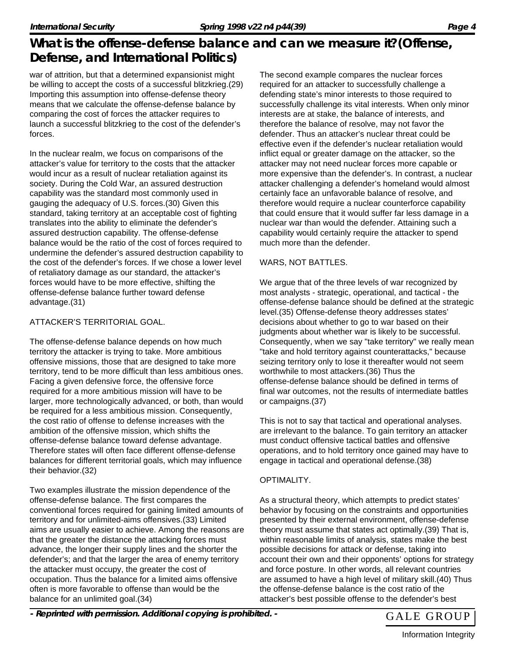war of attrition, but that a determined expansionist might be willing to accept the costs of a successful blitzkrieg.(29) Importing this assumption into offense-defense theory means that we calculate the offense-defense balance by comparing the cost of forces the attacker requires to launch a successful blitzkrieg to the cost of the defender's forces.

In the nuclear realm, we focus on comparisons of the attacker's value for territory to the costs that the attacker would incur as a result of nuclear retaliation against its society. During the Cold War, an assured destruction capability was the standard most commonly used in gauging the adequacy of U.S. forces.(30) Given this standard, taking territory at an acceptable cost of fighting translates into the ability to eliminate the defender's assured destruction capability. The offense-defense balance would be the ratio of the cost of forces required to undermine the defender's assured destruction capability to the cost of the defender's forces. If we chose a lower level of retaliatory damage as our standard, the attacker's forces would have to be more effective, shifting the offense-defense balance further toward defense advantage.(31)

## ATTACKER'S TERRITORIAL GOAL.

The offense-defense balance depends on how much territory the attacker is trying to take. More ambitious offensive missions, those that are designed to take more territory, tend to be more difficult than less ambitious ones. Facing a given defensive force, the offensive force required for a more ambitious mission will have to be larger, more technologically advanced, or both, than would be required for a less ambitious mission. Consequently, the cost ratio of offense to defense increases with the ambition of the offensive mission, which shifts the offense-defense balance toward defense advantage. Therefore states will often face different offense-defense balances for different territorial goals, which may influence their behavior.(32)

Two examples illustrate the mission dependence of the offense-defense balance. The first compares the conventional forces required for gaining limited amounts of territory and for unlimited-aims offensives.(33) Limited aims are usually easier to achieve. Among the reasons are that the greater the distance the attacking forces must advance, the longer their supply lines and the shorter the defender's; and that the larger the area of enemy territory the attacker must occupy, the greater the cost of occupation. Thus the balance for a limited aims offensive often is more favorable to offense than would be the balance for an unlimited goal.(34)

The second example compares the nuclear forces required for an attacker to successfully challenge a defending state's minor interests to those required to successfully challenge its vital interests. When only minor interests are at stake, the balance of interests, and therefore the balance of resolve, may not favor the defender. Thus an attacker's nuclear threat could be effective even if the defender's nuclear retaliation would inflict equal or greater damage on the attacker, so the attacker may not need nuclear forces more capable or more expensive than the defender's. In contrast, a nuclear attacker challenging a defender's homeland would almost certainly face an unfavorable balance of resolve, and therefore would require a nuclear counterforce capability that could ensure that it would suffer far less damage in a nuclear war than would the defender. Attaining such a capability would certainly require the attacker to spend much more than the defender.

### WARS, NOT BATTLES.

We argue that of the three levels of war recognized by most analysts - strategic, operational, and tactical - the offense-defense balance should be defined at the strategic level.(35) Offense-defense theory addresses states' decisions about whether to go to war based on their judgments about whether war is likely to be successful. Consequently, when we say "take territory" we really mean "take and hold territory against counterattacks," because seizing territory only to lose it thereafter would not seem worthwhile to most attackers.(36) Thus the offense-defense balance should be defined in terms of final war outcomes, not the results of intermediate battles or campaigns.(37)

This is not to say that tactical and operational analyses. are irrelevant to the balance. To gain territory an attacker must conduct offensive tactical battles and offensive operations, and to hold territory once gained may have to engage in tactical and operational defense.(38)

## OPTIMALITY.

As a structural theory, which attempts to predict states' behavior by focusing on the constraints and opportunities presented by their external environment, offense-defense theory must assume that states act optimally.(39) That is, within reasonable limits of analysis, states make the best possible decisions for attack or defense, taking into account their own and their opponents' options for strategy and force posture. In other words, all relevant countries are assumed to have a high level of military skill.(40) Thus the offense-defense balance is the cost ratio of the attacker's best possible offense to the defender's best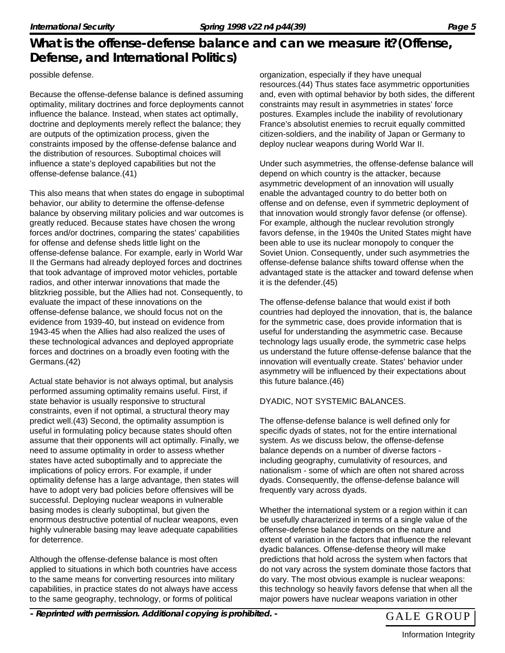possible defense.

Because the offense-defense balance is defined assuming optimality, military doctrines and force deployments cannot influence the balance. Instead, when states act optimally, doctrine and deployments merely reflect the balance; they are outputs of the optimization process, given the constraints imposed by the offense-defense balance and the distribution of resources. Suboptimal choices will influence a state's deployed capabilities but not the offense-defense balance.(41)

This also means that when states do engage in suboptimal behavior, our ability to determine the offense-defense balance by observing military policies and war outcomes is greatly reduced. Because states have chosen the wrong forces and/or doctrines, comparing the states' capabilities for offense and defense sheds little light on the offense-defense balance. For example, early in World War II the Germans had already deployed forces and doctrines that took advantage of improved motor vehicles, portable radios, and other interwar innovations that made the blitzkrieg possible, but the Allies had not. Consequently, to evaluate the impact of these innovations on the offense-defense balance, we should focus not on the evidence from 1939-40, but instead on evidence from 1943-45 when the Allies had also realized the uses of these technological advances and deployed appropriate forces and doctrines on a broadly even footing with the Germans.(42)

Actual state behavior is not always optimal, but analysis performed assuming optimality remains useful. First, if state behavior is usually responsive to structural constraints, even if not optimal, a structural theory may predict well.(43) Second, the optimality assumption is useful in formulating policy because states should often assume that their opponents will act optimally. Finally, we need to assume optimality in order to assess whether states have acted suboptimally and to appreciate the implications of policy errors. For example, if under optimality defense has a large advantage, then states will have to adopt very bad policies before offensives will be successful. Deploying nuclear weapons in vulnerable basing modes is clearly suboptimal, but given the enormous destructive potential of nuclear weapons, even highly vulnerable basing may leave adequate capabilities for deterrence.

Although the offense-defense balance is most often applied to situations in which both countries have access to the same means for converting resources into military capabilities, in practice states do not always have access to the same geography, technology, or forms of political

organization, especially if they have unequal resources.(44) Thus states face asymmetric opportunities and, even with optimal behavior by both sides, the different constraints may result in asymmetries in states' force postures. Examples include the inability of revolutionary France's absolutist enemies to recruit equally committed citizen-soldiers, and the inability of Japan or Germany to deploy nuclear weapons during World War II.

Under such asymmetries, the offense-defense balance will depend on which country is the attacker, because asymmetric development of an innovation will usually enable the advantaged country to do better both on offense and on defense, even if symmetric deployment of that innovation would strongly favor defense (or offense). For example, although the nuclear revolution strongly favors defense, in the 1940s the United States might have been able to use its nuclear monopoly to conquer the Soviet Union. Consequently, under such asymmetries the offense-defense balance shifts toward offense when the advantaged state is the attacker and toward defense when it is the defender.(45)

The offense-defense balance that would exist if both countries had deployed the innovation, that is, the balance for the symmetric case, does provide information that is useful for understanding the asymmetric case. Because technology lags usually erode, the symmetric case helps us understand the future offense-defense balance that the innovation will eventually create. States' behavior under asymmetry will be influenced by their expectations about this future balance.(46)

### DYADIC, NOT SYSTEMIC BALANCES.

The offense-defense balance is well defined only for specific dyads of states, not for the entire international system. As we discuss below, the offense-defense balance depends on a number of diverse factors including geography, cumulativity of resources, and nationalism - some of which are often not shared across dyads. Consequently, the offense-defense balance will frequently vary across dyads.

Whether the international system or a region within it can be usefully characterized in terms of a single value of the offense-defense balance depends on the nature and extent of variation in the factors that influence the relevant dyadic balances. Offense-defense theory will make predictions that hold across the system when factors that do not vary across the system dominate those factors that do vary. The most obvious example is nuclear weapons: this technology so heavily favors defense that when all the major powers have nuclear weapons variation in other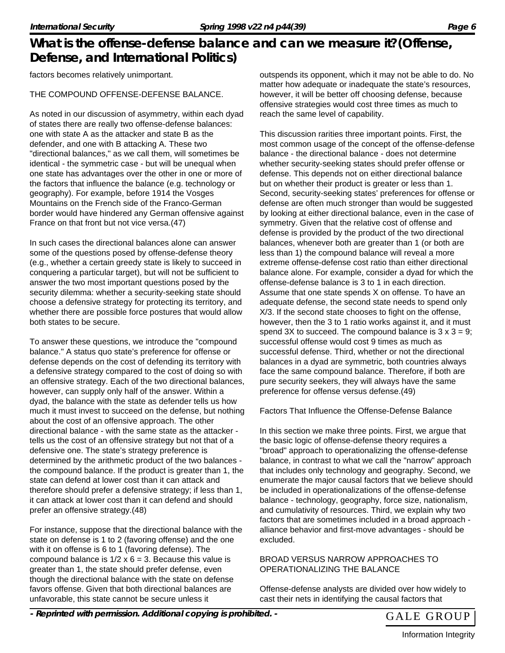factors becomes relatively unimportant.

## THE COMPOUND OFFENSE-DEFENSE BALANCE.

As noted in our discussion of asymmetry, within each dyad of states there are really two offense-defense balances: one with state A as the attacker and state B as the defender, and one with B attacking A. These two "directional balances," as we call them, will sometimes be identical - the symmetric case - but will be unequal when one state has advantages over the other in one or more of the factors that influence the balance (e.g. technology or geography). For example, before 1914 the Vosges Mountains on the French side of the Franco-German border would have hindered any German offensive against France on that front but not vice versa.(47)

In such cases the directional balances alone can answer some of the questions posed by offense-defense theory (e.g., whether a certain greedy state is likely to succeed in conquering a particular target), but will not be sufficient to answer the two most important questions posed by the security dilemma: whether a security-seeking state should choose a defensive strategy for protecting its territory, and whether there are possible force postures that would allow both states to be secure.

To answer these questions, we introduce the "compound balance." A status quo state's preference for offense or defense depends on the cost of defending its territory with a defensive strategy compared to the cost of doing so with an offensive strategy. Each of the two directional balances, however, can supply only half of the answer. Within a dyad, the balance with the state as defender tells us how much it must invest to succeed on the defense, but nothing about the cost of an offensive approach. The other directional balance - with the same state as the attacker tells us the cost of an offensive strategy but not that of a defensive one. The state's strategy preference is determined by the arithmetic product of the two balances the compound balance. If the product is greater than 1, the state can defend at lower cost than it can attack and therefore should prefer a defensive strategy; if less than 1, it can attack at lower cost than it can defend and should prefer an offensive strategy.(48)

For instance, suppose that the directional balance with the state on defense is 1 to 2 (favoring offense) and the one with it on offense is 6 to 1 (favoring defense). The compound balance is  $1/2 \times 6 = 3$ . Because this value is greater than 1, the state should prefer defense, even though the directional balance with the state on defense favors offense. Given that both directional balances are unfavorable, this state cannot be secure unless it

outspends its opponent, which it may not be able to do. No matter how adequate or inadequate the state's resources, however, it will be better off choosing defense, because offensive strategies would cost three times as much to reach the same level of capability.

This discussion rarities three important points. First, the most common usage of the concept of the offense-defense balance - the directional balance - does not determine whether security-seeking states should prefer offense or defense. This depends not on either directional balance but on whether their product is greater or less than 1. Second, security-seeking states' preferences for offense or defense are often much stronger than would be suggested by looking at either directional balance, even in the case of symmetry. Given that the relative cost of offense and defense is provided by the product of the two directional balances, whenever both are greater than 1 (or both are less than 1) the compound balance will reveal a more extreme offense-defense cost ratio than either directional balance alone. For example, consider a dyad for which the offense-defense balance is 3 to 1 in each direction. Assume that one state spends X on offense. To have an adequate defense, the second state needs to spend only X/3. If the second state chooses to fight on the offense, however, then the 3 to 1 ratio works against it, and it must spend 3X to succeed. The compound balance is  $3 \times 3 = 9$ ; successful offense would cost 9 times as much as successful defense. Third, whether or not the directional balances in a dyad are symmetric, both countries always face the same compound balance. Therefore, if both are pure security seekers, they will always have the same preference for offense versus defense.(49)

#### Factors That Influence the Offense-Defense Balance

In this section we make three points. First, we argue that the basic logic of offense-defense theory requires a "broad" approach to operationalizing the offense-defense balance, in contrast to what we call the "narrow" approach that includes only technology and geography. Second, we enumerate the major causal factors that we believe should be included in operationalizations of the offense-defense balance - technology, geography, force size, nationalism, and cumulativity of resources. Third, we explain why two factors that are sometimes included in a broad approach alliance behavior and first-move advantages - should be excluded.

#### BROAD VERSUS NARROW APPROACHES TO OPERATIONALIZING THE BALANCE

Offense-defense analysts are divided over how widely to cast their nets in identifying the causal factors that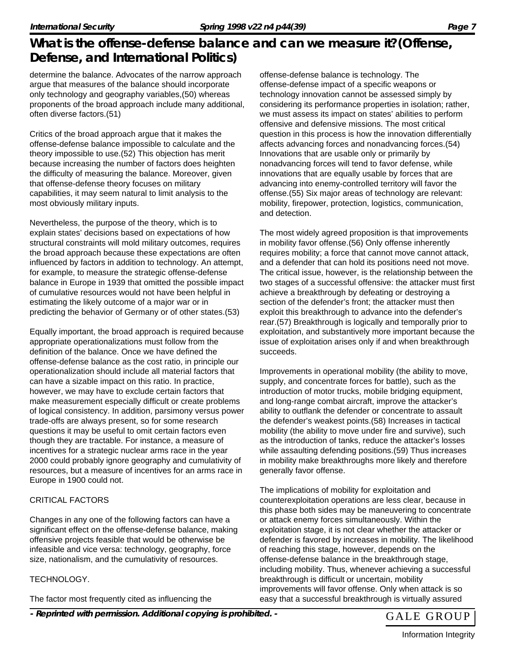determine the balance. Advocates of the narrow approach argue that measures of the balance should incorporate only technology and geography variables,(50) whereas proponents of the broad approach include many additional, often diverse factors.(51)

Critics of the broad approach argue that it makes the offense-defense balance impossible to calculate and the theory impossible to use.(52) This objection has merit because increasing the number of factors does heighten the difficulty of measuring the balance. Moreover, given that offense-defense theory focuses on military capabilities, it may seem natural to limit analysis to the most obviously military inputs.

Nevertheless, the purpose of the theory, which is to explain states' decisions based on expectations of how structural constraints will mold military outcomes, requires the broad approach because these expectations are often influenced by factors in addition to technology. An attempt, for example, to measure the strategic offense-defense balance in Europe in 1939 that omitted the possible impact of cumulative resources would not have been helpful in estimating the likely outcome of a major war or in predicting the behavior of Germany or of other states.(53)

Equally important, the broad approach is required because appropriate operationalizations must follow from the definition of the balance. Once we have defined the offense-defense balance as the cost ratio, in principle our operationalization should include all material factors that can have a sizable impact on this ratio. In practice, however, we may have to exclude certain factors that make measurement especially difficult or create problems of logical consistency. In addition, parsimony versus power trade-offs are always present, so for some research questions it may be useful to omit certain factors even though they are tractable. For instance, a measure of incentives for a strategic nuclear arms race in the year 2000 could probably ignore geography and cumulativity of resources, but a measure of incentives for an arms race in Europe in 1900 could not.

#### CRITICAL FACTORS

Changes in any one of the following factors can have a significant effect on the offense-defense balance, making offensive projects feasible that would be otherwise be infeasible and vice versa: technology, geography, force size, nationalism, and the cumulativity of resources.

#### TECHNOLOGY.

The factor most frequently cited as influencing the

offense-defense balance is technology. The offense-defense impact of a specific weapons or technology innovation cannot be assessed simply by considering its performance properties in isolation; rather, we must assess its impact on states' abilities to perform offensive and defensive missions. The most critical question in this process is how the innovation differentially affects advancing forces and nonadvancing forces.(54) Innovations that are usable only or primarily by nonadvancing forces will tend to favor defense, while innovations that are equally usable by forces that are advancing into enemy-controlled territory will favor the offense.(55) Six major areas of technology are relevant: mobility, firepower, protection, logistics, communication, and detection.

The most widely agreed proposition is that improvements in mobility favor offense.(56) Only offense inherently requires mobility; a force that cannot move cannot attack, and a defender that can hold its positions need not move. The critical issue, however, is the relationship between the two stages of a successful offensive: the attacker must first achieve a breakthrough by defeating or destroying a section of the defender's front; the attacker must then exploit this breakthrough to advance into the defender's rear.(57) Breakthrough is logically and temporally prior to exploitation, and substantively more important because the issue of exploitation arises only if and when breakthrough succeeds.

Improvements in operational mobility (the ability to move, supply, and concentrate forces for battle), such as the introduction of motor trucks, mobile bridging equipment, and long-range combat aircraft, improve the attacker's ability to outflank the defender or concentrate to assault the defender's weakest points.(58) Increases in tactical mobility (the ability to move under fire and survive), such as the introduction of tanks, reduce the attacker's losses while assaulting defending positions.(59) Thus increases in mobility make breakthroughs more likely and therefore generally favor offense.

The implications of mobility for exploitation and counterexploitation operations are less clear, because in this phase both sides may be maneuvering to concentrate or attack enemy forces simultaneously. Within the exploitation stage, it is not clear whether the attacker or defender is favored by increases in mobility. The likelihood of reaching this stage, however, depends on the offense-defense balance in the breakthrough stage, including mobility. Thus, whenever achieving a successful breakthrough is difficult or uncertain, mobility improvements will favor offense. Only when attack is so easy that a successful breakthrough is virtually assured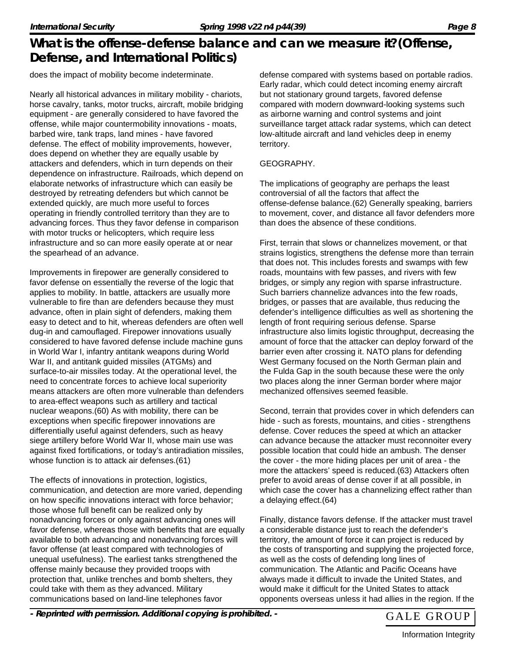does the impact of mobility become indeterminate.

Nearly all historical advances in military mobility - chariots, horse cavalry, tanks, motor trucks, aircraft, mobile bridging equipment - are generally considered to have favored the offense, while major countermobility innovations - moats, barbed wire, tank traps, land mines - have favored defense. The effect of mobility improvements, however, does depend on whether they are equally usable by attackers and defenders, which in turn depends on their dependence on infrastructure. Railroads, which depend on elaborate networks of infrastructure which can easily be destroyed by retreating defenders but which cannot be extended quickly, are much more useful to forces operating in friendly controlled territory than they are to advancing forces. Thus they favor defense in comparison with motor trucks or helicopters, which require less infrastructure and so can more easily operate at or near the spearhead of an advance.

Improvements in firepower are generally considered to favor defense on essentially the reverse of the logic that applies to mobility. In battle, attackers are usually more vulnerable to fire than are defenders because they must advance, often in plain sight of defenders, making them easy to detect and to hit, whereas defenders are often well dug-in and camouflaged. Firepower innovations usually considered to have favored defense include machine guns in World War I, infantry antitank weapons during World War II, and antitank guided missiles (ATGMs) and surface-to-air missiles today. At the operational level, the need to concentrate forces to achieve local superiority means attackers are often more vulnerable than defenders to area-effect weapons such as artillery and tactical nuclear weapons.(60) As with mobility, there can be exceptions when specific firepower innovations are differentially useful against defenders, such as heavy siege artillery before World War II, whose main use was against fixed fortifications, or today's antiradiation missiles, whose function is to attack air defenses.(61)

The effects of innovations in protection, logistics, communication, and detection are more varied, depending on how specific innovations interact with force behavior; those whose full benefit can be realized only by nonadvancing forces or only against advancing ones will favor defense, whereas those with benefits that are equally available to both advancing and nonadvancing forces will favor offense (at least compared with technologies of unequal usefulness). The earliest tanks strengthened the offense mainly because they provided troops with protection that, unlike trenches and bomb shelters, they could take with them as they advanced. Military communications based on land-line telephones favor

defense compared with systems based on portable radios. Early radar, which could detect incoming enemy aircraft but not stationary ground targets, favored defense compared with modern downward-looking systems such as airborne warning and control systems and joint surveillance target attack radar systems, which can detect low-altitude aircraft and land vehicles deep in enemy territory.

#### GEOGRAPHY.

The implications of geography are perhaps the least controversial of all the factors that affect the offense-defense balance.(62) Generally speaking, barriers to movement, cover, and distance all favor defenders more than does the absence of these conditions.

First, terrain that slows or channelizes movement, or that strains logistics, strengthens the defense more than terrain that does not. This includes forests and swamps with few roads, mountains with few passes, and rivers with few bridges, or simply any region with sparse infrastructure. Such barriers channelize advances into the few roads, bridges, or passes that are available, thus reducing the defender's intelligence difficulties as well as shortening the length of front requiring serious defense. Sparse infrastructure also limits logistic throughput, decreasing the amount of force that the attacker can deploy forward of the barrier even after crossing it. NATO plans for defending West Germany focused on the North German plain and the Fulda Gap in the south because these were the only two places along the inner German border where major mechanized offensives seemed feasible.

Second, terrain that provides cover in which defenders can hide - such as forests, mountains, and cities - strengthens defense. Cover reduces the speed at which an attacker can advance because the attacker must reconnoiter every possible location that could hide an ambush. The denser the cover - the more hiding places per unit of area - the more the attackers' speed is reduced.(63) Attackers often prefer to avoid areas of dense cover if at all possible, in which case the cover has a channelizing effect rather than a delaying effect.(64)

Finally, distance favors defense. If the attacker must travel a considerable distance just to reach the defender's territory, the amount of force it can project is reduced by the costs of transporting and supplying the projected force, as well as the costs of defending long lines of communication. The Atlantic and Pacific Oceans have always made it difficult to invade the United States, and would make it difficult for the United States to attack opponents overseas unless it had allies in the region. If the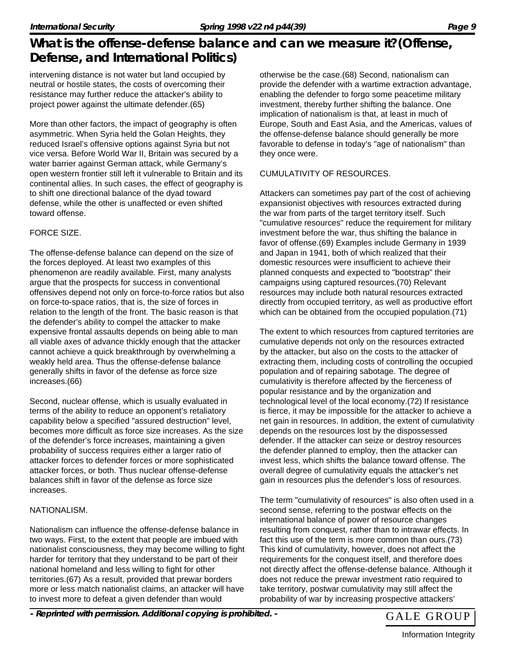intervening distance is not water but land occupied by neutral or hostile states, the costs of overcoming their resistance may further reduce the attacker's ability to project power against the ultimate defender.(65)

More than other factors, the impact of geography is often asymmetric. When Syria held the Golan Heights, they reduced Israel's offensive options against Syria but not vice versa. Before World War II, Britain was secured by a water barrier against German attack, while Germany's open western frontier still left it vulnerable to Britain and its continental allies. In such cases, the effect of geography is to shift one directional balance of the dyad toward defense, while the other is unaffected or even shifted toward offense.

## FORCE SIZE.

The offense-defense balance can depend on the size of the forces deployed. At least two examples of this phenomenon are readily available. First, many analysts argue that the prospects for success in conventional offensives depend not only on force-to-force ratios but also on force-to-space ratios, that is, the size of forces in relation to the length of the front. The basic reason is that the defender's ability to compel the attacker to make expensive frontal assaults depends on being able to man all viable axes of advance thickly enough that the attacker cannot achieve a quick breakthrough by overwhelming a weakly held area. Thus the offense-defense balance generally shifts in favor of the defense as force size increases.(66)

Second, nuclear offense, which is usually evaluated in terms of the ability to reduce an opponent's retaliatory capability below a specified "assured destruction" level, becomes more difficult as force size increases. As the size of the defender's force increases, maintaining a given probability of success requires either a larger ratio of attacker forces to defender forces or more sophisticated attacker forces, or both. Thus nuclear offense-defense balances shift in favor of the defense as force size increases.

### NATIONALISM.

Nationalism can influence the offense-defense balance in two ways. First, to the extent that people are imbued with nationalist consciousness, they may become willing to fight harder for territory that they understand to be part of their national homeland and less willing to fight for other territories.(67) As a result, provided that prewar borders more or less match nationalist claims, an attacker will have to invest more to defeat a given defender than would

otherwise be the case.(68) Second, nationalism can provide the defender with a wartime extraction advantage, enabling the defender to forgo some peacetime military investment, thereby further shifting the balance. One implication of nationalism is that, at least in much of Europe, South and East Asia, and the Americas, values of the offense-defense balance should generally be more favorable to defense in today's "age of nationalism" than they once were.

### CUMULATIVITY OF RESOURCES.

Attackers can sometimes pay part of the cost of achieving expansionist objectives with resources extracted during the war from parts of the target territory itself. Such "cumulative resources" reduce the requirement for military investment before the war, thus shifting the balance in favor of offense.(69) Examples include Germany in 1939 and Japan in 1941, both of which realized that their domestic resources were insufficient to achieve their planned conquests and expected to "bootstrap" their campaigns using captured resources.(70) Relevant resources may include both natural resources extracted directly from occupied territory, as well as productive effort which can be obtained from the occupied population.(71)

The extent to which resources from captured territories are cumulative depends not only on the resources extracted by the attacker, but also on the costs to the attacker of extracting them, including costs of controlling the occupied population and of repairing sabotage. The degree of cumulativity is therefore affected by the fierceness of popular resistance and by the organization and technological level of the local economy.(72) If resistance is fierce, it may be impossible for the attacker to achieve a net gain in resources. In addition, the extent of cumulativity depends on the resources lost by the dispossessed defender. If the attacker can seize or destroy resources the defender planned to employ, then the attacker can invest less, which shifts the balance toward offense. The overall degree of cumulativity equals the attacker's net gain in resources plus the defender's loss of resources.

The term "cumulativity of resources" is also often used in a second sense, referring to the postwar effects on the international balance of power of resource changes resulting from conquest, rather than to intrawar effects. In fact this use of the term is more common than ours.(73) This kind of cumulativity, however, does not affect the requirements for the conquest itself, and therefore does not directly affect the offense-defense balance. Although it does not reduce the prewar investment ratio required to take territory, postwar cumulativity may still affect the probability of war by increasing prospective attackers'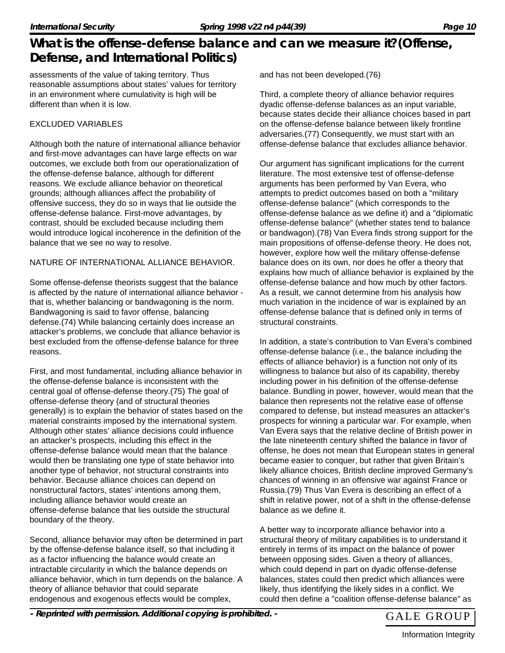assessments of the value of taking territory. Thus reasonable assumptions about states' values for territory in an environment where cumulativity is high will be different than when it is low.

## EXCLUDED VARIABLES

Although both the nature of international alliance behavior and first-move advantages can have large effects on war outcomes, we exclude both from our operationalization of the offense-defense balance, although for different reasons. We exclude alliance behavior on theoretical grounds; although alliances affect the probability of offensive success, they do so in ways that lie outside the offense-defense balance. First-move advantages, by contrast, should be excluded because including them would introduce logical incoherence in the definition of the balance that we see no way to resolve.

#### NATURE OF INTERNATIONAL ALLIANCE BEHAVIOR.

Some offense-defense theorists suggest that the balance is affected by the nature of international alliance behavior that is, whether balancing or bandwagoning is the norm. Bandwagoning is said to favor offense, balancing defense.(74) While balancing certainly does increase an attacker's problems, we conclude that alliance behavior is best excluded from the offense-defense balance for three reasons.

First, and most fundamental, including alliance behavior in the offense-defense balance is inconsistent with the central goal of offense-defense theory.(75) The goal of offense-defense theory (and of structural theories generally) is to explain the behavior of states based on the material constraints imposed by the international system. Although other states' alliance decisions could influence an attacker's prospects, including this effect in the offense-defense balance would mean that the balance would then be translating one type of state behavior into another type of behavior, not structural constraints into behavior. Because alliance choices can depend on nonstructural factors, states' intentions among them, including alliance behavior would create an offense-defense balance that lies outside the structural boundary of the theory.

Second, alliance behavior may often be determined in part by the offense-defense balance itself, so that including it as a factor influencing the balance would create an intractable circularity in which the balance depends on alliance behavior, which in turn depends on the balance. A theory of alliance behavior that could separate endogenous and exogenous effects would be complex,

and has not been developed.(76)

Third, a complete theory of alliance behavior requires dyadic offense-defense balances as an input variable, because states decide their alliance choices based in part on the offense-defense balance between likely frontline adversaries.(77) Consequently, we must start with an offense-defense balance that excludes alliance behavior.

Our argument has significant implications for the current literature. The most extensive test of offense-defense arguments has been performed by Van Evera, who attempts to predict outcomes based on both a "military offense-defense balance" (which corresponds to the offense-defense balance as we define it) and a "diplomatic offense-defense balance" (whether states tend to balance or bandwagon).(78) Van Evera finds strong support for the main propositions of offense-defense theory. He does not, however, explore how well the military offense-defense balance does on its own, nor does he offer a theory that explains how much of alliance behavior is explained by the offense-defense balance and how much by other factors. As a result, we cannot determine from his analysis how much variation in the incidence of war is explained by an offense-defense balance that is defined only in terms of structural constraints.

In addition, a state's contribution to Van Evera's combined offense-defense balance (i.e., the balance including the effects of alliance behavior) is a function not only of its willingness to balance but also of its capability, thereby including power in his definition of the offense-defense balance. Bundling in power, however, would mean that the balance then represents not the relative ease of offense compared to defense, but instead measures an attacker's prospects for winning a particular war. For example, when Van Evera says that the relative decline of British power in the late nineteenth century shifted the balance in favor of offense, he does not mean that European states in general became easier to conquer, but rather that given Britain's likely alliance choices, British decline improved Germany's chances of winning in an offensive war against France or Russia.(79) Thus Van Evera is describing an effect of a shift in relative power, not of a shift in the offense-defense balance as we define it.

A better way to incorporate alliance behavior into a structural theory of military capabilities is to understand it entirely in terms of its impact on the balance of power between opposing sides. Given a theory of alliances, which could depend in part on dyadic offense-defense balances, states could then predict which alliances were likely, thus identifying the likely sides in a conflict. We could then define a "coalition offense-defense balance" as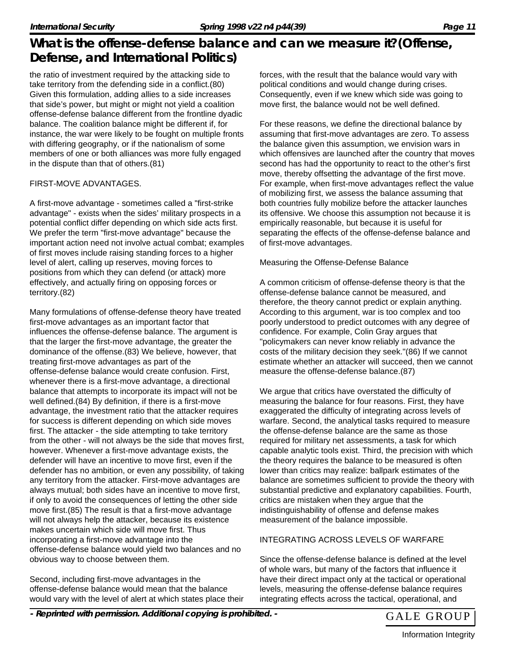the ratio of investment required by the attacking side to take territory from the defending side in a conflict.(80) Given this formulation, adding allies to a side increases that side's power, but might or might not yield a coalition offense-defense balance different from the frontline dyadic balance. The coalition balance might be different if, for instance, the war were likely to be fought on multiple fronts with differing geography, or if the nationalism of some members of one or both alliances was more fully engaged in the dispute than that of others.(81)

## FIRST-MOVE ADVANTAGES.

A first-move advantage - sometimes called a "first-strike advantage" - exists when the sides' military prospects in a potential conflict differ depending on which side acts first. We prefer the term "first-move advantage" because the important action need not involve actual combat; examples of first moves include raising standing forces to a higher level of alert, calling up reserves, moving forces to positions from which they can defend (or attack) more effectively, and actually firing on opposing forces or territory.(82)

Many formulations of offense-defense theory have treated first-move advantages as an important factor that influences the offense-defense balance. The argument is that the larger the first-move advantage, the greater the dominance of the offense.(83) We believe, however, that treating first-move advantages as part of the offense-defense balance would create confusion. First, whenever there is a first-move advantage, a directional balance that attempts to incorporate its impact will not be well defined.(84) By definition, if there is a first-move advantage, the investment ratio that the attacker requires for success is different depending on which side moves first. The attacker - the side attempting to take territory from the other - will not always be the side that moves first, however. Whenever a first-move advantage exists, the defender will have an incentive to move first, even if the defender has no ambition, or even any possibility, of taking any territory from the attacker. First-move advantages are always mutual; both sides have an incentive to move first, if only to avoid the consequences of letting the other side move first.(85) The result is that a first-move advantage will not always help the attacker, because its existence makes uncertain which side will move first. Thus incorporating a first-move advantage into the offense-defense balance would yield two balances and no obvious way to choose between them.

Second, including first-move advantages in the offense-defense balance would mean that the balance would vary with the level of alert at which states place their forces, with the result that the balance would vary with political conditions and would change during crises. Consequently, even if we knew which side was going to move first, the balance would not be well defined.

For these reasons, we define the directional balance by assuming that first-move advantages are zero. To assess the balance given this assumption, we envision wars in which offensives are launched after the country that moves second has had the opportunity to react to the other's first move, thereby offsetting the advantage of the first move. For example, when first-move advantages reflect the value of mobilizing first, we assess the balance assuming that both countries fully mobilize before the attacker launches its offensive. We choose this assumption not because it is empirically reasonable, but because it is useful for separating the effects of the offense-defense balance and of first-move advantages.

#### Measuring the Offense-Defense Balance

A common criticism of offense-defense theory is that the offense-defense balance cannot be measured, and therefore, the theory cannot predict or explain anything. According to this argument, war is too complex and too poorly understood to predict outcomes with any degree of confidence. For example, Colin Gray argues that "policymakers can never know reliably in advance the costs of the military decision they seek."(86) If we cannot estimate whether an attacker will succeed, then we cannot measure the offense-defense balance.(87)

We argue that critics have overstated the difficulty of measuring the balance for four reasons. First, they have exaggerated the difficulty of integrating across levels of warfare. Second, the analytical tasks required to measure the offense-defense balance are the same as those required for military net assessments, a task for which capable analytic tools exist. Third, the precision with which the theory requires the balance to be measured is often lower than critics may realize: ballpark estimates of the balance are sometimes sufficient to provide the theory with substantial predictive and explanatory capabilities. Fourth, critics are mistaken when they argue that the indistinguishability of offense and defense makes measurement of the balance impossible.

### INTEGRATING ACROSS LEVELS OF WARFARE

Since the offense-defense balance is defined at the level of whole wars, but many of the factors that influence it have their direct impact only at the tactical or operational levels, measuring the offense-defense balance requires integrating effects across the tactical, operational, and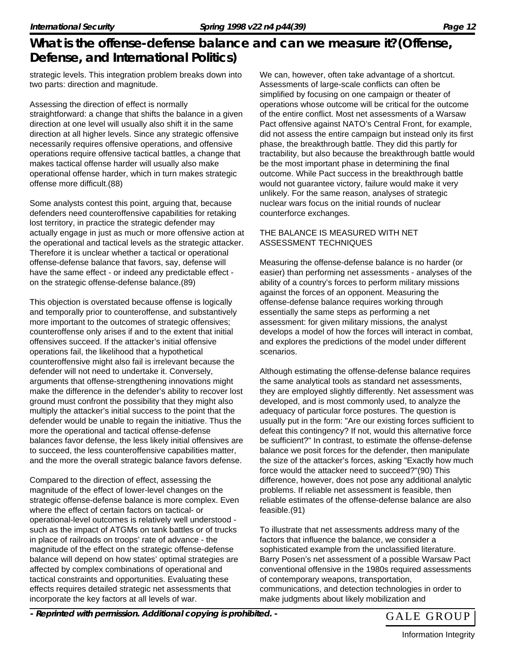strategic levels. This integration problem breaks down into two parts: direction and magnitude.

Assessing the direction of effect is normally straightforward: a change that shifts the balance in a given direction at one level will usually also shift it in the same direction at all higher levels. Since any strategic offensive necessarily requires offensive operations, and offensive operations require offensive tactical battles, a change that makes tactical offense harder will usually also make operational offense harder, which in turn makes strategic offense more difficult.(88)

Some analysts contest this point, arguing that, because defenders need counteroffensive capabilities for retaking lost territory, in practice the strategic defender may actually engage in just as much or more offensive action at the operational and tactical levels as the strategic attacker. Therefore it is unclear whether a tactical or operational offense-defense balance that favors, say, defense will have the same effect - or indeed any predictable effect on the strategic offense-defense balance.(89)

This objection is overstated because offense is logically and temporally prior to counteroffense, and substantively more important to the outcomes of strategic offensives; counteroffense only arises if and to the extent that initial offensives succeed. If the attacker's initial offensive operations fail, the likelihood that a hypothetical counteroffensive might also fail is irrelevant because the defender will not need to undertake it. Conversely, arguments that offense-strengthening innovations might make the difference in the defender's ability to recover lost ground must confront the possibility that they might also multiply the attacker's initial success to the point that the defender would be unable to regain the initiative. Thus the more the operational and tactical offense-defense balances favor defense, the less likely initial offensives are to succeed, the less counteroffensive capabilities matter, and the more the overall strategic balance favors defense.

Compared to the direction of effect, assessing the magnitude of the effect of lower-level changes on the strategic offense-defense balance is more complex. Even where the effect of certain factors on tactical- or operational-level outcomes is relatively well understood such as the impact of ATGMs on tank battles or of trucks in place of railroads on troops' rate of advance - the magnitude of the effect on the strategic offense-defense balance will depend on how states' optimal strategies are affected by complex combinations of operational and tactical constraints and opportunities. Evaluating these effects requires detailed strategic net assessments that incorporate the key factors at all levels of war.

We can, however, often take advantage of a shortcut. Assessments of large-scale conflicts can often be simplified by focusing on one campaign or theater of operations whose outcome will be critical for the outcome of the entire conflict. Most net assessments of a Warsaw Pact offensive against NATO's Central Front, for example, did not assess the entire campaign but instead only its first phase, the breakthrough battle. They did this partly for tractability, but also because the breakthrough battle would be the most important phase in determining the final outcome. While Pact success in the breakthrough battle would not guarantee victory, failure would make it very unlikely. For the same reason, analyses of strategic nuclear wars focus on the initial rounds of nuclear counterforce exchanges.

#### THE BALANCE IS MEASURED WITH NET ASSESSMENT TECHNIQUES

Measuring the offense-defense balance is no harder (or easier) than performing net assessments - analyses of the ability of a country's forces to perform military missions against the forces of an opponent. Measuring the offense-defense balance requires working through essentially the same steps as performing a net assessment: for given military missions, the analyst develops a model of how the forces will interact in combat, and explores the predictions of the model under different scenarios.

Although estimating the offense-defense balance requires the same analytical tools as standard net assessments, they are employed slightly differently. Net assessment was developed, and is most commonly used, to analyze the adequacy of particular force postures. The question is usually put in the form: "Are our existing forces sufficient to defeat this contingency? If not, would this alternative force be sufficient?" In contrast, to estimate the offense-defense balance we posit forces for the defender, then manipulate the size of the attacker's forces, asking "Exactly how much force would the attacker need to succeed?"(90) This difference, however, does not pose any additional analytic problems. If reliable net assessment is feasible, then reliable estimates of the offense-defense balance are also feasible.(91)

To illustrate that net assessments address many of the factors that influence the balance, we consider a sophisticated example from the unclassified literature. Barry Posen's net assessment of a possible Warsaw Pact conventional offensive in the 1980s required assessments of contemporary weapons, transportation, communications, and detection technologies in order to make judgments about likely mobilization and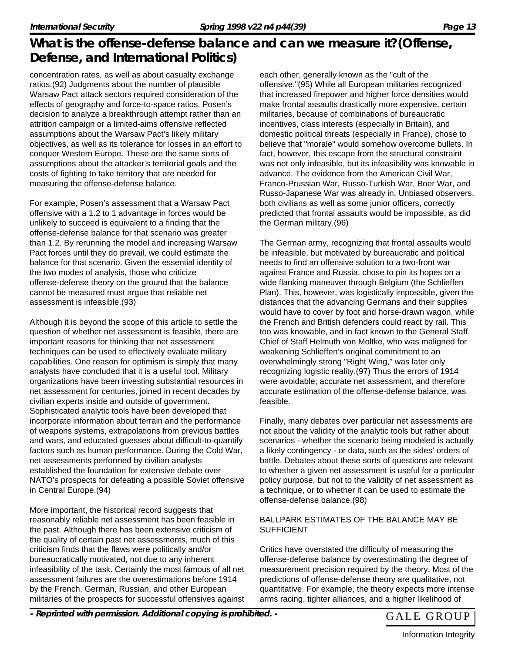concentration rates, as well as about casualty exchange ratios.(92) Judgments about the number of plausible Warsaw Pact attack sectors required consideration of the effects of geography and force-to-space ratios. Posen's decision to analyze a breakthrough attempt rather than an attrition campaign or a limited-aims offensive reflected assumptions about the Warsaw Pact's likely military objectives, as well as its tolerance for losses in an effort to conquer Western Europe. These are the same sorts of assumptions about the attacker's territorial goals and the costs of fighting to take territory that are needed for measuring the offense-defense balance.

For example, Posen's assessment that a Warsaw Pact offensive with a 1.2 to 1 advantage in forces would be unlikely to succeed is equivalent to a finding that the offense-defense balance for that scenario was greater than 1.2. By rerunning the model and increasing Warsaw Pact forces until they do prevail, we could estimate the balance for that scenario. Given the essential identity of the two modes of analysis, those who criticize offense-defense theory on the ground that the balance cannot be measured must argue that reliable net assessment is infeasible.(93)

Although it is beyond the scope of this article to settle the question of whether net assessment is feasible, there are important reasons for thinking that net assessment techniques can be used to effectively evaluate military capabilities. One reason for optimism is simply that many analysts have concluded that it is a useful tool. Military organizations have been investing substantial resources in net assessment for centuries, joined in recent decades by civilian experts inside and outside of government. Sophisticated analytic tools have been developed that incorporate information about terrain and the performance of weapons systems, extrapolations from previous battles and wars, and educated guesses about difficult-to-quantify factors such as human performance. During the Cold War, net assessments performed by civilian analysts established the foundation for extensive debate over NATO's prospects for defeating a possible Soviet offensive in Central Europe.(94)

More important, the historical record suggests that reasonably reliable net assessment has been feasible in the past. Although there has been extensive criticism of the quality of certain past net assessments, much of this criticism finds that the flaws were politically and/or bureaucratically motivated, not due to any inherent infeasibility of the task. Certainly the most famous of all net assessment failures are the overestimations before 1914 by the French, German, Russian, and other European militaries of the prospects for successful offensives against each other, generally known as the "cult of the offensive."(95) While all European militaries recognized that increased firepower and higher force densities would make frontal assaults drastically more expensive, certain militaries, because of combinations of bureaucratic incentives, class interests (especially in Britain), and domestic political threats (especially in France), chose to believe that "morale" would somehow overcome bullets. In fact, however, this escape from the structural constraint was not only infeasible, but its infeasibility was knowable in advance. The evidence from the American Civil War, Franco-Prussian War, Russo-Turkish War, Boer War, and Russo-Japanese War was already in. Unbiased observers, both civilians as well as some junior officers, correctly predicted that frontal assaults would be impossible, as did the German military.(96)

The German army, recognizing that frontal assaults would be infeasible, but motivated by bureaucratic and political needs to find an offensive solution to a two-front war against France and Russia, chose to pin its hopes on a wide flanking maneuver through Belgium (the Schlieffen Plan). This, however, was logistically impossible, given the distances that the advancing Germans and their supplies would have to cover by foot and horse-drawn wagon, while the French and British defenders could react by rail. This too was knowable, and in fact known to the General Staff. Chief of Staff Helmuth von Moltke, who was maligned for weakening Schlieffen's original commitment to an overwhelmingly strong "Right Wing," was later only recognizing logistic reality.(97) Thus the errors of 1914 were avoidable; accurate net assessment, and therefore accurate estimation of the offense-defense balance, was feasible.

Finally, many debates over particular net assessments are not about the validity of the analytic tools but rather about scenarios - whether the scenario being modeled is actually a likely contingency - or data, such as the sides' orders of battle. Debates about these sorts of questions are relevant to whether a given net assessment is useful for a particular policy purpose, but not to the validity of net assessment as a technique, or to whether it can be used to estimate the offense-defense balance.(98)

#### BALLPARK ESTIMATES OF THE BALANCE MAY BE **SUFFICIENT**

Critics have overstated the difficulty of measuring the offense-defense balance by overestimating the degree of measurement precision required by the theory. Most of the predictions of offense-defense theory are qualitative, not quantitative. For example, the theory expects more intense arms racing, tighter alliances, and a higher likelihood of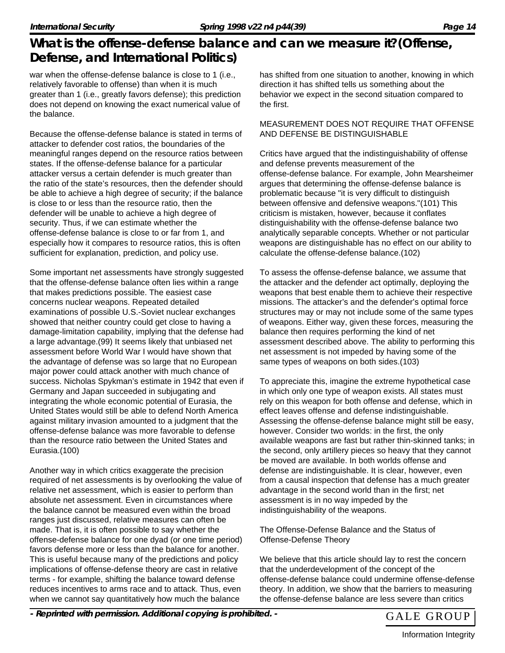war when the offense-defense balance is close to 1 (i.e., relatively favorable to offense) than when it is much greater than 1 (i.e., greatly favors defense); this prediction does not depend on knowing the exact numerical value of the balance.

Because the offense-defense balance is stated in terms of attacker to defender cost ratios, the boundaries of the meaningful ranges depend on the resource ratios between states. If the offense-defense balance for a particular attacker versus a certain defender is much greater than the ratio of the state's resources, then the defender should be able to achieve a high degree of security; if the balance is close to or less than the resource ratio, then the defender will be unable to achieve a high degree of security. Thus, if we can estimate whether the offense-defense balance is close to or far from 1, and especially how it compares to resource ratios, this is often sufficient for explanation, prediction, and policy use.

Some important net assessments have strongly suggested that the offense-defense balance often lies within a range that makes predictions possible. The easiest case concerns nuclear weapons. Repeated detailed examinations of possible U.S.-Soviet nuclear exchanges showed that neither country could get close to having a damage-limitation capability, implying that the defense had a large advantage.(99) It seems likely that unbiased net assessment before World War I would have shown that the advantage of defense was so large that no European major power could attack another with much chance of success. Nicholas Spykman's estimate in 1942 that even if Germany and Japan succeeded in subjugating and integrating the whole economic potential of Eurasia, the United States would still be able to defend North America against military invasion amounted to a judgment that the offense-defense balance was more favorable to defense than the resource ratio between the United States and Eurasia.(100)

Another way in which critics exaggerate the precision required of net assessments is by overlooking the value of relative net assessment, which is easier to perform than absolute net assessment. Even in circumstances where the balance cannot be measured even within the broad ranges just discussed, relative measures can often be made. That is, it is often possible to say whether the offense-defense balance for one dyad (or one time period) favors defense more or less than the balance for another. This is useful because many of the predictions and policy implications of offense-defense theory are cast in relative terms - for example, shifting the balance toward defense reduces incentives to arms race and to attack. Thus, even when we cannot say quantitatively how much the balance

has shifted from one situation to another, knowing in which direction it has shifted tells us something about the behavior we expect in the second situation compared to the first.

#### MEASUREMENT DOES NOT REQUIRE THAT OFFENSE AND DEFENSE BE DISTINGUISHABLE

Critics have argued that the indistinguishability of offense and defense prevents measurement of the offense-defense balance. For example, John Mearsheimer argues that determining the offense-defense balance is problematic because "it is very difficult to distinguish between offensive and defensive weapons."(101) This criticism is mistaken, however, because it conflates distinguishability with the offense-defense balance two analytically separable concepts. Whether or not particular weapons are distinguishable has no effect on our ability to calculate the offense-defense balance.(102)

To assess the offense-defense balance, we assume that the attacker and the defender act optimally, deploying the weapons that best enable them to achieve their respective missions. The attacker's and the defender's optimal force structures may or may not include some of the same types of weapons. Either way, given these forces, measuring the balance then requires performing the kind of net assessment described above. The ability to performing this net assessment is not impeded by having some of the same types of weapons on both sides.(103)

To appreciate this, imagine the extreme hypothetical case in which only one type of weapon exists. All states must rely on this weapon for both offense and defense, which in effect leaves offense and defense indistinguishable. Assessing the offense-defense balance might still be easy, however. Consider two worlds: in the first, the only available weapons are fast but rather thin-skinned tanks; in the second, only artillery pieces so heavy that they cannot be moved are available. In both worlds offense and defense are indistinguishable. It is clear, however, even from a causal inspection that defense has a much greater advantage in the second world than in the first; net assessment is in no way impeded by the indistinguishability of the weapons.

#### The Offense-Defense Balance and the Status of Offense-Defense Theory

We believe that this article should lay to rest the concern that the underdevelopment of the concept of the offense-defense balance could undermine offense-defense theory. In addition, we show that the barriers to measuring the offense-defense balance are less severe than critics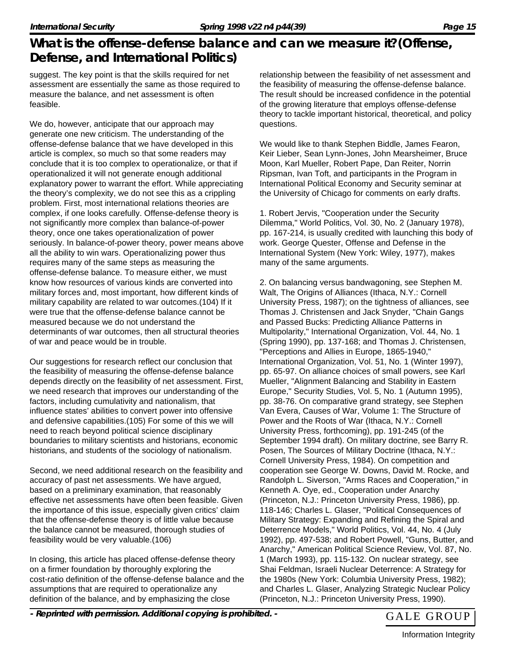suggest. The key point is that the skills required for net assessment are essentially the same as those required to measure the balance, and net assessment is often feasible.

We do, however, anticipate that our approach may generate one new criticism. The understanding of the offense-defense balance that we have developed in this article is complex, so much so that some readers may conclude that it is too complex to operationalize, or that if operationalized it will not generate enough additional explanatory power to warrant the effort. While appreciating the theory's complexity, we do not see this as a crippling problem. First, most international relations theories are complex, if one looks carefully. Offense-defense theory is not significantly more complex than balance-of-power theory, once one takes operationalization of power seriously. In balance-of-power theory, power means above all the ability to win wars. Operationalizing power thus requires many of the same steps as measuring the offense-defense balance. To measure either, we must know how resources of various kinds are converted into military forces and, most important, how different kinds of military capability are related to war outcomes.(104) If it were true that the offense-defense balance cannot be measured because we do not understand the determinants of war outcomes, then all structural theories of war and peace would be in trouble.

Our suggestions for research reflect our conclusion that the feasibility of measuring the offense-defense balance depends directly on the feasibility of net assessment. First, we need research that improves our understanding of the factors, including cumulativity and nationalism, that influence states' abilities to convert power into offensive and defensive capabilities.(105) For some of this we will need to reach beyond political science disciplinary boundaries to military scientists and historians, economic historians, and students of the sociology of nationalism.

Second, we need additional research on the feasibility and accuracy of past net assessments. We have argued, based on a preliminary examination, that reasonably effective net assessments have often been feasible. Given the importance of this issue, especially given critics' claim that the offense-defense theory is of little value because the balance cannot be measured, thorough studies of feasibility would be very valuable.(106)

In closing, this article has placed offense-defense theory on a firmer foundation by thoroughly exploring the cost-ratio definition of the offense-defense balance and the assumptions that are required to operationalize any definition of the balance, and by emphasizing the close

relationship between the feasibility of net assessment and the feasibility of measuring the offense-defense balance. The result should be increased confidence in the potential of the growing literature that employs offense-defense theory to tackle important historical, theoretical, and policy questions.

We would like to thank Stephen Biddle, James Fearon, Keir Lieber, Sean Lynn-Jones, John Mearsheimer, Bruce Moon, Karl Mueller, Robert Pape, Dan Reiter, Norrin Ripsman, Ivan Toft, and participants in the Program in International Political Economy and Security seminar at the University of Chicago for comments on early drafts.

1. Robert Jervis, "Cooperation under the Security Dilemma," World Politics, Vol. 30, No. 2 (January 1978), pp. 167-214, is usually credited with launching this body of work. George Quester, Offense and Defense in the International System (New York: Wiley, 1977), makes many of the same arguments.

2. On balancing versus bandwagoning, see Stephen M. Walt, The Origins of Alliances (Ithaca, N.Y.: Cornell University Press, 1987); on the tightness of alliances, see Thomas J. Christensen and Jack Snyder, "Chain Gangs and Passed Bucks: Predicting Alliance Patterns in Multipolarity," International Organization, Vol. 44, No. 1 (Spring 1990), pp. 137-168; and Thomas J. Christensen, "Perceptions and Allies in Europe, 1865-1940," International Organization, Vol. 51, No. 1 (Winter 1997), pp. 65-97. On alliance choices of small powers, see Karl Mueller, "Alignment Balancing and Stability in Eastern Europe," Security Studies, Vol. 5, No. 1 (Autumn 1995), pp. 38-76. On comparative grand strategy, see Stephen Van Evera, Causes of War, Volume 1: The Structure of Power and the Roots of War (Ithaca, N.Y.: Cornell University Press, forthcoming), pp. 191-245 (of the September 1994 draft). On military doctrine, see Barry R. Posen, The Sources of Military Doctrine (Ithaca, N.Y.: Cornell University Press, 1984). On competition and cooperation see George W. Downs, David M. Rocke, and Randolph L. Siverson, "Arms Races and Cooperation," in Kenneth A. Oye, ed., Cooperation under Anarchy (Princeton, N.J.: Princeton University Press, 1986), pp. 118-146; Charles L. Glaser, "Political Consequences of Military Strategy: Expanding and Refining the Spiral and Deterrence Models," World Politics, Vol. 44, No. 4 (July 1992), pp. 497-538; and Robert Powell, "Guns, Butter, and Anarchy," American Political Science Review, Vol. 87, No. 1 (March 1993), pp. 115-132. On nuclear strategy, see Shai Feldman, Israeli Nuclear Deterrence: A Strategy for the 1980s (New York: Columbia University Press, 1982); and Charles L. Glaser, Analyzing Strategic Nuclear Policy (Princeton, N.J.: Princeton University Press, 1990).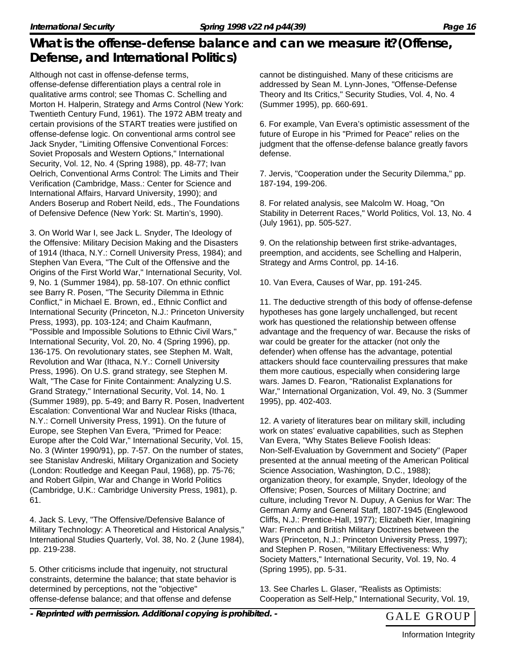Although not cast in offense-defense terms, offense-defense differentiation plays a central role in qualitative arms control; see Thomas C. Schelling and Morton H. Halperin, Strategy and Arms Control (New York: Twentieth Century Fund, 1961). The 1972 ABM treaty and certain provisions of the START treaties were justified on offense-defense logic. On conventional arms control see Jack Snyder, "Limiting Offensive Conventional Forces: Soviet Proposals and Western Options," International Security, Vol. 12, No. 4 (Spring 1988), pp. 48-77; Ivan Oelrich, Conventional Arms Control: The Limits and Their Verification (Cambridge, Mass.: Center for Science and International Affairs, Harvard University, 1990); and Anders Boserup and Robert Neild, eds., The Foundations of Defensive Defence (New York: St. Martin's, 1990).

3. On World War I, see Jack L. Snyder, The Ideology of the Offensive: Military Decision Making and the Disasters of 1914 (Ithaca, N.Y.: Cornell University Press, 1984); and Stephen Van Evera, "The Cult of the Offensive and the Origins of the First World War," International Security, Vol. 9, No. 1 (Summer 1984), pp. 58-107. On ethnic conflict see Barry R. Posen, "The Security Dilemma in Ethnic Conflict," in Michael E. Brown, ed., Ethnic Conflict and International Security (Princeton, N.J.: Princeton University Press, 1993), pp. 103-124; and Chaim Kaufmann, "Possible and Impossible Solutions to Ethnic Civil Wars," International Security, Vol. 20, No. 4 (Spring 1996), pp. 136-175. On revolutionary states, see Stephen M. Walt, Revolution and War (Ithaca, N.Y.: Cornell University Press, 1996). On U.S. grand strategy, see Stephen M. Walt, "The Case for Finite Containment: Analyzing U.S. Grand Strategy," International Security, Vol. 14, No. 1 (Summer 1989), pp. 5-49; and Barry R. Posen, Inadvertent Escalation: Conventional War and Nuclear Risks (Ithaca, N.Y.: Cornell University Press, 1991). On the future of Europe, see Stephen Van Evera, "Primed for Peace: Europe after the Cold War," International Security, Vol. 15, No. 3 (Winter 1990/91), pp. 7-57. On the number of states, see Stanislav Andreski, Military Organization and Society (London: Routledge and Keegan Paul, 1968), pp. 75-76; and Robert Gilpin, War and Change in World Politics (Cambridge, U.K.: Cambridge University Press, 1981), p. 61.

4. Jack S. Levy, "The Offensive/Defensive Balance of Military Technology: A Theoretical and Historical Analysis," International Studies Quarterly, Vol. 38, No. 2 (June 1984), pp. 219-238.

5. Other criticisms include that ingenuity, not structural constraints, determine the balance; that state behavior is determined by perceptions, not the "objective" offense-defense balance; and that offense and defense

cannot be distinguished. Many of these criticisms are addressed by Sean M. Lynn-Jones, "Offense-Defense Theory and Its Critics," Security Studies, Vol. 4, No. 4 (Summer 1995), pp. 660-691.

6. For example, Van Evera's optimistic assessment of the future of Europe in his "Primed for Peace" relies on the judgment that the offense-defense balance greatly favors defense.

7. Jervis, "Cooperation under the Security Dilemma," pp. 187-194, 199-206.

8. For related analysis, see Malcolm W. Hoag, "On Stability in Deterrent Races," World Politics, Vol. 13, No. 4 (July 1961), pp. 505-527.

9. On the relationship between first strike-advantages, preemption, and accidents, see Schelling and Halperin, Strategy and Arms Control, pp. 14-16.

10. Van Evera, Causes of War, pp. 191-245.

11. The deductive strength of this body of offense-defense hypotheses has gone largely unchallenged, but recent work has questioned the relationship between offense advantage and the frequency of war. Because the risks of war could be greater for the attacker (not only the defender) when offense has the advantage, potential attackers should face countervailing pressures that make them more cautious, especially when considering large wars. James D. Fearon, "Rationalist Explanations for War," International Organization, Vol. 49, No. 3 (Summer 1995), pp. 402-403.

12. A variety of literatures bear on military skill, including work on states' evaluative capabilities, such as Stephen Van Evera, "Why States Believe Foolish Ideas: Non-Self-Evaluation by Government and Society" (Paper presented at the annual meeting of the American Political Science Association, Washington, D.C., 1988); organization theory, for example, Snyder, Ideology of the Offensive; Posen, Sources of Military Doctrine; and culture, including Trevor N. Dupuy, A Genius for War: The German Army and General Staff, 1807-1945 (Englewood Cliffs, N.J.: Prentice-Hall, 1977); Elizabeth Kier, Imagining War: French and British Military Doctrines between the Wars (Princeton, N.J.: Princeton University Press, 1997); and Stephen P. Rosen, "Military Effectiveness: Why Society Matters," International Security, Vol. 19, No. 4 (Spring 1995), pp. 5-31.

13. See Charles L. Glaser, "Realists as Optimists: Cooperation as Self-Help," International Security, Vol. 19,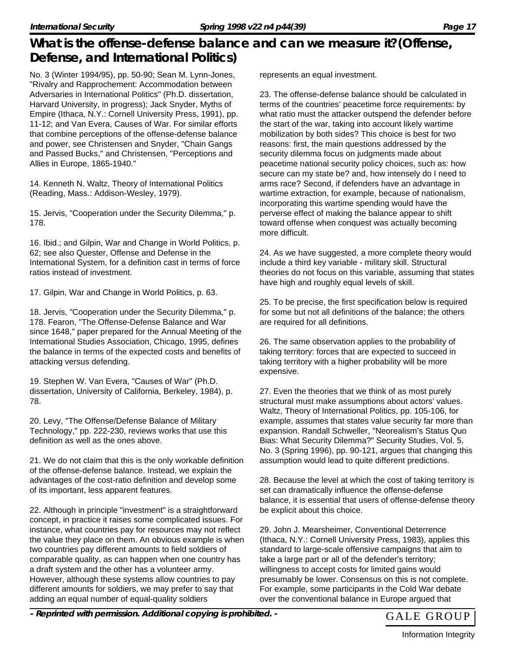No. 3 (Winter 1994/95), pp. 50-90; Sean M. Lynn-Jones, "Rivalry and Rapprochement: Accommodation between Adversaries in International Politics" (Ph.D. dissertation, Harvard University, in progress); Jack Snyder, Myths of Empire (Ithaca, N.Y.: Cornell University Press, 1991), pp. 11-12; and Van Evera, Causes of War. For similar efforts that combine perceptions of the offense-defense balance and power, see Christensen and Snyder, "Chain Gangs and Passed Bucks," and Christensen, "Perceptions and Allies in Europe, 1865-1940."

14. Kenneth N. Waltz, Theory of International Politics (Reading, Mass.: Addison-Wesley, 1979).

15. Jervis, "Cooperation under the Security Dilemma," p. 178.

16. Ibid.; and Gilpin, War and Change in World Politics, p. 62; see also Quester, Offense and Defense in the International System, for a definition cast in terms of force ratios instead of investment.

17. Gilpin, War and Change in World Politics, p. 63.

18. Jervis, "Cooperation under the Security Dilemma," p. 178. Fearon, "The Offense-Defense Balance and War since 1648," paper prepared for the Annual Meeting of the International Studies Association, Chicago, 1995, defines the balance in terms of the expected costs and benefits of attacking versus defending.

19. Stephen W. Van Evera, "Causes of War" (Ph.D. dissertation, University of California, Berkeley, 1984), p. 78.

20. Levy, "The Offense/Defense Balance of Military Technology," pp. 222-230, reviews works that use this definition as well as the ones above.

21. We do not claim that this is the only workable definition of the offense-defense balance. Instead, we explain the advantages of the cost-ratio definition and develop some of its important, less apparent features.

22. Although in principle "investment" is a straightforward concept, in practice it raises some complicated issues. For instance, what countries pay for resources may not reflect the value they place on them. An obvious example is when two countries pay different amounts to field soldiers of comparable quality, as can happen when one country has a draft system and the other has a volunteer army. However, although these systems allow countries to pay different amounts for soldiers, we may prefer to say that adding an equal number of equal-quality soldiers

represents an equal investment.

23. The offense-defense balance should be calculated in terms of the countries' peacetime force requirements: by what ratio must the attacker outspend the defender before the start of the war, taking into account likely wartime mobilization by both sides? This choice is best for two reasons: first, the main questions addressed by the security dilemma focus on judgments made about peacetime national security policy choices, such as: how secure can my state be? and, how intensely do I need to arms race? Second, if defenders have an advantage in wartime extraction, for example, because of nationalism, incorporating this wartime spending would have the perverse effect of making the balance appear to shift toward offense when conquest was actually becoming more difficult.

24. As we have suggested, a more complete theory would include a third key variable - military skill. Structural theories do not focus on this variable, assuming that states have high and roughly equal levels of skill.

25. To be precise, the first specification below is required for some but not all definitions of the balance; the others are required for all definitions.

26. The same observation applies to the probability of taking territory: forces that are expected to succeed in taking territory with a higher probability will be more expensive.

27. Even the theories that we think of as most purely structural must make assumptions about actors' values. Waltz, Theory of International Politics, pp. 105-106, for example, assumes that states value security far more than expansion. Randall Schweller, "Neorealism's Status Quo Bias: What Security Dilemma?" Security Studies, Vol. 5, No. 3 (Spring 1996), pp. 90-121, argues that changing this assumption would lead to quite different predictions.

28. Because the level at which the cost of taking territory is set can dramatically influence the offense-defense balance, it is essential that users of offense-defense theory be explicit about this choice.

29. John J. Mearsheimer, Conventional Deterrence (Ithaca, N.Y.: Cornell University Press, 1983), applies this standard to large-scale offensive campaigns that aim to take a large part or all of the defender's territory; willingness to accept costs for limited gains would presumably be lower. Consensus on this is not complete. For example, some participants in the Cold War debate over the conventional balance in Europe argued that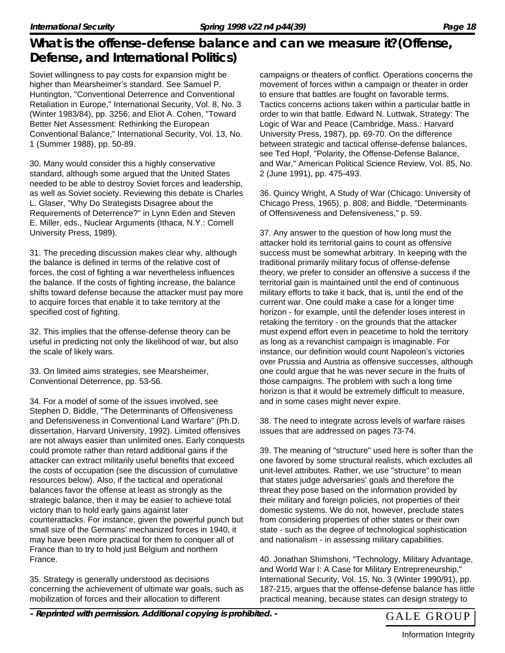Soviet willingness to pay costs for expansion might be higher than Mearsheimer's standard. See Samuel P. Huntington, "Conventional Deterrence and Conventional Retaliation in Europe," International Security, Vol. 8, No. 3 (Winter 1983/84), pp. 3256; and Eliot A. Cohen, "Toward Better Net Assessment: Rethinking the European Conventional Balance," International Security, Vol. 13, No. 1 (Summer 1988), pp. 50-89.

30. Many would consider this a highly conservative standard, although some argued that the United States needed to be able to destroy Soviet forces and leadership, as well as Soviet society. Reviewing this debate is Charles L. Glaser, "Why Do Strategists Disagree about the Requirements of Deterrence?" in Lynn Eden and Steven E. Miller, eds., Nuclear Arguments (Ithaca, N.Y.: Cornell University Press, 1989).

31. The preceding discussion makes clear why, although the balance is defined in terms of the relative cost of forces, the cost of fighting a war nevertheless influences the balance. If the costs of fighting increase, the balance shifts toward defense because the attacker must pay more to acquire forces that enable it to take territory at the specified cost of fighting.

32. This implies that the offense-defense theory can be useful in predicting not only the likelihood of war, but also the scale of likely wars.

33. On limited aims strategies, see Mearsheimer, Conventional Deterrence, pp. 53-56.

34. For a model of some of the issues involved, see Stephen D. Biddle, "The Determinants of Offensiveness and Defensiveness in Conventional Land Warfare" (Ph.D. dissertation, Harvard University, 1992). Limited offensives are not always easier than unlimited ones. Early conquests could promote rather than retard additional gains if the attacker can extract militarily useful benefits that exceed the costs of occupation (see the discussion of cumulative resources below). Also, if the tactical and operational balances favor the offense at least as strongly as the strategic balance, then it may be easier to achieve total victory than to hold early gains against later counterattacks. For instance, given the powerful punch but small size of the Germans' mechanized forces in 1940, it may have been more practical for them to conquer all of France than to try to hold just Belgium and northern France.

35. Strategy is generally understood as decisions concerning the achievement of ultimate war goals, such as mobilization of forces and their allocation to different

campaigns or theaters of conflict. Operations concerns the movement of forces within a campaign or theater in order to ensure that battles are fought on favorable terms. Tactics concerns actions taken within a particular battle in order to win that battle. Edward N. Luttwak, Strategy: The Logic of War and Peace (Cambridge, Mass.: Harvard University Press, 1987), pp. 69-70. On the difference between strategic and tactical offense-defense balances, see Ted Hopf, "Polarity, the Offense-Defense Balance, and War," American Political Science Review, Vol. 85, No. 2 (June 1991), pp. 475-493.

36. Quincy Wright, A Study of War (Chicago: University of Chicago Press, 1965), p. 808; and Biddle, "Determinants of Offensiveness and Defensiveness," p. 59.

37. Any answer to the question of how long must the attacker hold its territorial gains to count as offensive success must be somewhat arbitrary. In keeping with the traditional primarily military focus of offense-defense theory, we prefer to consider an offensive a success if the territorial gain is maintained until the end of continuous military efforts to take it back, that is, until the end of the current war. One could make a case for a longer time horizon - for example, until the defender loses interest in retaking the territory - on the grounds that the attacker must expend effort even in peacetime to hold the territory as long as a revanchist campaign is imaginable. For instance, our definition would count Napoleon's victories over Prussia and Austria as offensive successes, although one could argue that he was never secure in the fruits of those campaigns. The problem with such a long time horizon is that it would be extremely difficult to measure, and in some cases might never expire.

38. The need to integrate across levels of warfare raises issues that are addressed on pages 73-74.

39. The meaning of "structure" used here is softer than the one favored by some structural realists, which excludes all unit-level attributes. Rather, we use "structure" to mean that states judge adversaries' goals and therefore the threat they pose based on the information provided by their military and foreign policies, not properties of their domestic systems. We do not, however, preclude states from considering properties of other states or their own state - such as the degree of technological sophistication and nationalism - in assessing military capabilities.

40. Jonathan Shimshoni, "Technology, Military Advantage, and World War I: A Case for Military Entrepreneurship," International Security, Vol. 15, No. 3 (Winter 1990/91), pp. 187-215, argues that the offense-defense balance has little practical meaning, because states can design strategy to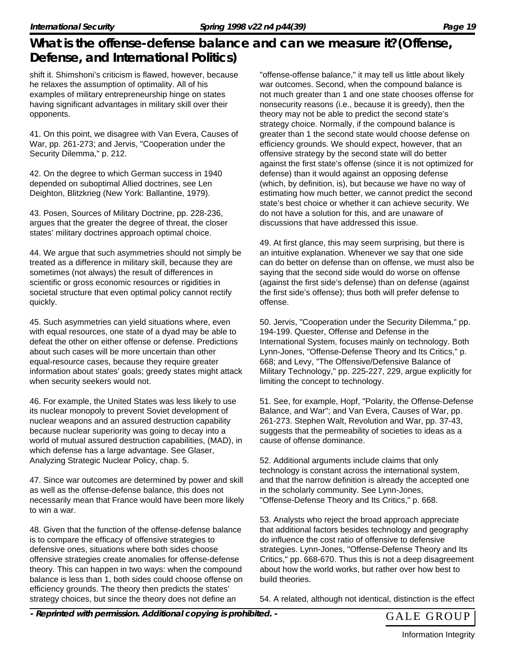shift it. Shimshoni's criticism is flawed, however, because he relaxes the assumption of optimality. All of his examples of military entrepreneurship hinge on states having significant advantages in military skill over their opponents.

41. On this point, we disagree with Van Evera, Causes of War, pp. 261-273; and Jervis, "Cooperation under the Security Dilemma," p. 212.

42. On the degree to which German success in 1940 depended on suboptimal Allied doctrines, see Len Deighton, Blitzkrieg (New York: Ballantine, 1979).

43. Posen, Sources of Military Doctrine, pp. 228-236, argues that the greater the degree of threat, the closer states' military doctrines approach optimal choice.

44. We argue that such asymmetries should not simply be treated as a difference in military skill, because they are sometimes (not always) the result of differences in scientific or gross economic resources or rigidities in societal structure that even optimal policy cannot rectify quickly.

45. Such asymmetries can yield situations where, even with equal resources, one state of a dyad may be able to defeat the other on either offense or defense. Predictions about such cases will be more uncertain than other equal-resource cases, because they require greater information about states' goals; greedy states might attack when security seekers would not.

46. For example, the United States was less likely to use its nuclear monopoly to prevent Soviet development of nuclear weapons and an assured destruction capability because nuclear superiority was going to decay into a world of mutual assured destruction capabilities, (MAD), in which defense has a large advantage. See Glaser, Analyzing Strategic Nuclear Policy, chap. 5.

47. Since war outcomes are determined by power and skill as well as the offense-defense balance, this does not necessarily mean that France would have been more likely to win a war.

48. Given that the function of the offense-defense balance is to compare the efficacy of offensive strategies to defensive ones, situations where both sides choose offensive strategies create anomalies for offense-defense theory. This can happen in two ways: when the compound balance is less than 1, both sides could choose offense on efficiency grounds. The theory then predicts the states' strategy choices, but since the theory does not define an

"offense-offense balance," it may tell us little about likely war outcomes. Second, when the compound balance is not much greater than 1 and one state chooses offense for nonsecurity reasons (i.e., because it is greedy), then the theory may not be able to predict the second state's strategy choice. Normally, if the compound balance is greater than 1 the second state would choose defense on efficiency grounds. We should expect, however, that an offensive strategy by the second state will do better against the first state's offense (since it is not optimized for defense) than it would against an opposing defense (which, by definition, is), but because we have no way of estimating how much better, we cannot predict the second state's best choice or whether it can achieve security. We do not have a solution for this, and are unaware of discussions that have addressed this issue.

49. At first glance, this may seem surprising, but there is an intuitive explanation. Whenever we say that one side can do better on defense than on offense, we must also be saying that the second side would do worse on offense (against the first side's defense) than on defense (against the first side's offense); thus both will prefer defense to offense.

50. Jervis, "Cooperation under the Security Dilemma," pp. 194-199. Quester, Offense and Defense in the International System, focuses mainly on technology. Both Lynn-Jones, "Offense-Defense Theory and Its Critics," p. 668; and Levy, "The Offensive/Defensive Balance of Military Technology," pp. 225-227, 229, argue explicitly for limiting the concept to technology.

51. See, for example, Hopf, "Polarity, the Offense-Defense Balance, and War"; and Van Evera, Causes of War, pp. 261-273. Stephen Walt, Revolution and War, pp. 37-43, suggests that the permeability of societies to ideas as a cause of offense dominance.

52. Additional arguments include claims that only technology is constant across the international system, and that the narrow definition is already the accepted one in the scholarly community. See Lynn-Jones, "Offense-Defense Theory and Its Critics," p. 668.

53. Analysts who reject the broad approach appreciate that additional factors besides technology and geography do influence the cost ratio of offensive to defensive strategies. Lynn-Jones, "Offense-Defense Theory and Its Critics," pp. 668-670. Thus this is not a deep disagreement about how the world works, but rather over how best to build theories.

54. A related, although not identical, distinction is the effect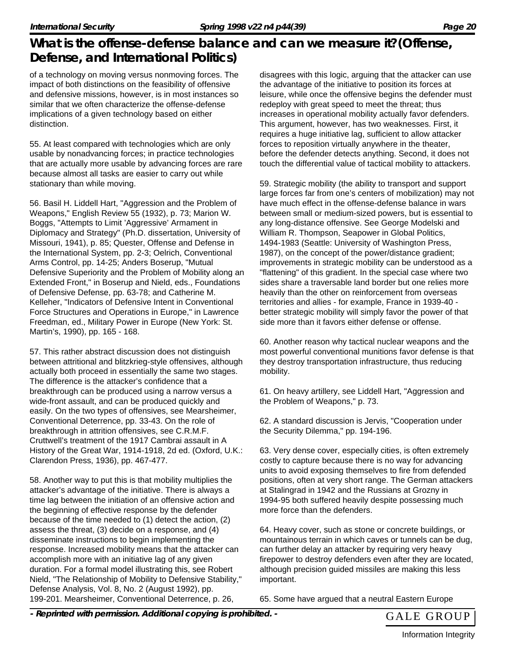of a technology on moving versus nonmoving forces. The impact of both distinctions on the feasibility of offensive and defensive missions, however, is in most instances so similar that we often characterize the offense-defense implications of a given technology based on either distinction.

55. At least compared with technologies which are only usable by nonadvancing forces; in practice technologies that are actually more usable by advancing forces are rare because almost all tasks are easier to carry out while stationary than while moving.

56. Basil H. Liddell Hart, "Aggression and the Problem of Weapons," English Review 55 (1932), p. 73; Marion W. Boggs, "Attempts to Limit 'Aggressive' Armament in Diplomacy and Strategy" (Ph.D. dissertation, University of Missouri, 1941), p. 85; Quester, Offense and Defense in the International System, pp. 2-3; Oelrich, Conventional Arms Control, pp. 14-25; Anders Boserup, "Mutual Defensive Superiority and the Problem of Mobility along an Extended Front," in Boserup and Nield, eds., Foundations of Defensive Defense, pp. 63-78; and Catherine M. Kelleher, "Indicators of Defensive Intent in Conventional Force Structures and Operations in Europe," in Lawrence Freedman, ed., Military Power in Europe (New York: St. Martin's, 1990), pp. 165 - 168.

57. This rather abstract discussion does not distinguish between attritional and blitzkrieg-style offensives, although actually both proceed in essentially the same two stages. The difference is the attacker's confidence that a breakthrough can be produced using a narrow versus a wide-front assault, and can be produced quickly and easily. On the two types of offensives, see Mearsheimer, Conventional Deterrence, pp. 33-43. On the role of breakthrough in attrition offensives, see C.R.M.F. Cruttwell's treatment of the 1917 Cambrai assault in A History of the Great War, 1914-1918, 2d ed. (Oxford, U.K.: Clarendon Press, 1936), pp. 467-477.

58. Another way to put this is that mobility multiplies the attacker's advantage of the initiative. There is always a time lag between the initiation of an offensive action and the beginning of effective response by the defender because of the time needed to (1) detect the action, (2) assess the threat, (3) decide on a response, and (4) disseminate instructions to begin implementing the response. Increased mobility means that the attacker can accomplish more with an initiative lag of any given duration. For a formal model illustrating this, see Robert Nield, "The Relationship of Mobility to Defensive Stability," Defense Analysis, Vol. 8, No. 2 (August 1992), pp. 199-201. Mearsheimer, Conventional Deterrence, p. 26,

disagrees with this logic, arguing that the attacker can use the advantage of the initiative to position its forces at leisure, while once the offensive begins the defender must redeploy with great speed to meet the threat; thus increases in operational mobility actually favor defenders. This argument, however, has two weaknesses. First, it requires a huge initiative lag, sufficient to allow attacker forces to reposition virtually anywhere in the theater, before the defender detects anything. Second, it does not touch the differential value of tactical mobility to attackers.

59. Strategic mobility (the ability to transport and support large forces far from one's centers of mobilization) may not have much effect in the offense-defense balance in wars between small or medium-sized powers, but is essential to any long-distance offensive. See George Modelski and William R. Thompson, Seapower in Global Politics, 1494-1983 (Seattle: University of Washington Press, 1987), on the concept of the power/distance gradient; improvements in strategic mobility can be understood as a "flattening" of this gradient. In the special case where two sides share a traversable land border but one relies more heavily than the other on reinforcement from overseas territories and allies - for example, France in 1939-40 better strategic mobility will simply favor the power of that side more than it favors either defense or offense.

60. Another reason why tactical nuclear weapons and the most powerful conventional munitions favor defense is that they destroy transportation infrastructure, thus reducing mobility.

61. On heavy artillery, see Liddell Hart, "Aggression and the Problem of Weapons," p. 73.

62. A standard discussion is Jervis, "Cooperation under the Security Dilemma," pp. 194-196.

63. Very dense cover, especially cities, is often extremely costly to capture because there is no way for advancing units to avoid exposing themselves to fire from defended positions, often at very short range. The German attackers at Stalingrad in 1942 and the Russians at Grozny in 1994-95 both suffered heavily despite possessing much more force than the defenders.

64. Heavy cover, such as stone or concrete buildings, or mountainous terrain in which caves or tunnels can be dug, can further delay an attacker by requiring very heavy firepower to destroy defenders even after they are located, although precision guided missiles are making this less important.

65. Some have argued that a neutral Eastern Europe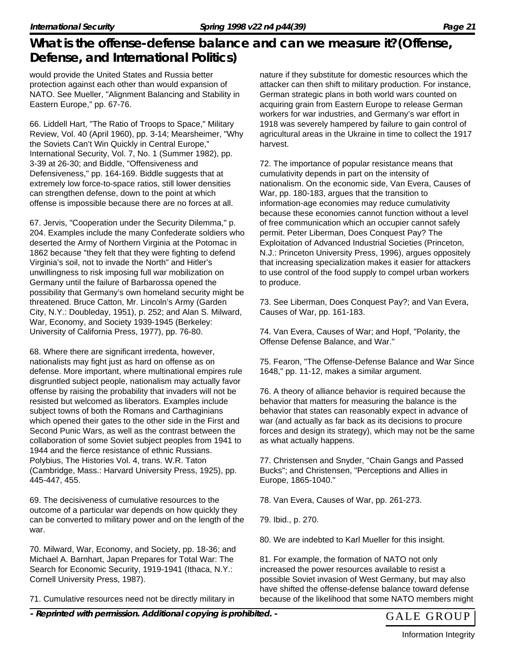would provide the United States and Russia better protection against each other than would expansion of NATO. See Mueller, "Alignment Balancing and Stability in Eastern Europe," pp. 67-76.

66. Liddell Hart, "The Ratio of Troops to Space," Military Review, Vol. 40 (April 1960), pp. 3-14; Mearsheimer, "Why the Soviets Can't Win Quickly in Central Europe," International Security, Vol. 7, No. 1 (Summer 1982), pp. 3-39 at 26-30; and Biddle, "Offensiveness and Defensiveness," pp. 164-169. Biddle suggests that at extremely low force-to-space ratios, still lower densities can strengthen defense, down to the point at which offense is impossible because there are no forces at all.

67. Jervis, "Cooperation under the Security Dilemma," p. 204. Examples include the many Confederate soldiers who deserted the Army of Northern Virginia at the Potomac in 1862 because "they felt that they were fighting to defend Virginia's soil, not to invade the North" and Hitler's unwillingness to risk imposing full war mobilization on Germany until the failure of Barbarossa opened the possibility that Germany's own homeland security might be threatened. Bruce Catton, Mr. Lincoln's Army (Garden City, N.Y.: Doubleday, 1951), p. 252; and Alan S. Milward, War, Economy, and Society 1939-1945 (Berkeley: University of California Press, 1977), pp. 76-80.

68. Where there are significant irredenta, however, nationalists may fight just as hard on offense as on defense. More important, where multinational empires rule disgruntled subject people, nationalism may actually favor offense by raising the probability that invaders will not be resisted but welcomed as liberators. Examples include subject towns of both the Romans and Carthaginians which opened their gates to the other side in the First and Second Punic Wars, as well as the contrast between the collaboration of some Soviet subject peoples from 1941 to 1944 and the fierce resistance of ethnic Russians. Polybius, The Histories Vol. 4, trans. W.R. Taton (Cambridge, Mass.: Harvard University Press, 1925), pp. 445-447, 455.

69. The decisiveness of cumulative resources to the outcome of a particular war depends on how quickly they can be converted to military power and on the length of the war.

70. Milward, War, Economy, and Society, pp. 18-36; and Michael A. Barnhart, Japan Prepares for Total War: The Search for Economic Security, 1919-1941 (Ithaca, N.Y.: Cornell University Press, 1987).

71. Cumulative resources need not be directly military in

nature if they substitute for domestic resources which the attacker can then shift to military production. For instance, German strategic plans in both world wars counted on acquiring grain from Eastern Europe to release German workers for war industries, and Germany's war effort in 1918 was severely hampered by failure to gain control of agricultural areas in the Ukraine in time to collect the 1917 harvest.

72. The importance of popular resistance means that cumulativity depends in part on the intensity of nationalism. On the economic side, Van Evera, Causes of War, pp. 180-183, argues that the transition to information-age economies may reduce cumulativity because these economies cannot function without a level of free communication which an occupier cannot safely permit. Peter Liberman, Does Conquest Pay? The Exploitation of Advanced Industrial Societies (Princeton, N.J.: Princeton University Press, 1996), argues oppositely that increasing specialization makes it easier for attackers to use control of the food supply to compel urban workers to produce.

73. See Liberman, Does Conquest Pay?; and Van Evera, Causes of War, pp. 161-183.

74. Van Evera, Causes of War; and Hopf, "Polarity, the Offense Defense Balance, and War."

75. Fearon, "The Offense-Defense Balance and War Since 1648," pp. 11-12, makes a similar argument.

76. A theory of alliance behavior is required because the behavior that matters for measuring the balance is the behavior that states can reasonably expect in advance of war (and actually as far back as its decisions to procure forces and design its strategy), which may not be the same as what actually happens.

77. Christensen and Snyder, "Chain Gangs and Passed Bucks"; and Christensen, "Perceptions and Allies in Europe, 1865-1040."

78. Van Evera, Causes of War, pp. 261-273.

79. Ibid., p. 270.

80. We are indebted to Karl Mueller for this insight.

81. For example, the formation of NATO not only increased the power resources available to resist a possible Soviet invasion of West Germany, but may also have shifted the offense-defense balance toward defense because of the likelihood that some NATO members might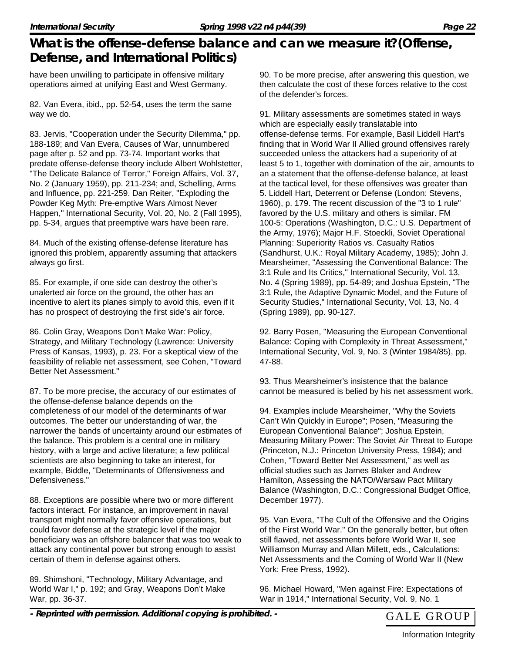have been unwilling to participate in offensive military operations aimed at unifying East and West Germany.

82. Van Evera, ibid., pp. 52-54, uses the term the same way we do.

83. Jervis, "Cooperation under the Security Dilemma," pp. 188-189; and Van Evera, Causes of War, unnumbered page after p. 52 and pp. 73-74. Important works that predate offense-defense theory include Albert Wohlstetter, "The Delicate Balance of Terror," Foreign Affairs, Vol. 37, No. 2 (January 1959), pp. 211-234; and, Schelling, Arms and Influence, pp. 221-259. Dan Reiter, "Exploding the Powder Keg Myth: Pre-emptive Wars Almost Never Happen," International Security, Vol. 20, No. 2 (Fall 1995), pp. 5-34, argues that preemptive wars have been rare.

84. Much of the existing offense-defense literature has ignored this problem, apparently assuming that attackers always go first.

85. For example, if one side can destroy the other's unalerted air force on the ground, the other has an incentive to alert its planes simply to avoid this, even if it has no prospect of destroying the first side's air force.

86. Colin Gray, Weapons Don't Make War: Policy, Strategy, and Military Technology (Lawrence: University Press of Kansas, 1993), p. 23. For a skeptical view of the feasibility of reliable net assessment, see Cohen, "Toward Better Net Assessment."

87. To be more precise, the accuracy of our estimates of the offense-defense balance depends on the completeness of our model of the determinants of war outcomes. The better our understanding of war, the narrower the bands of uncertainty around our estimates of the balance. This problem is a central one in military history, with a large and active literature; a few political scientists are also beginning to take an interest, for example, Biddle, "Determinants of Offensiveness and Defensiveness."

88. Exceptions are possible where two or more different factors interact. For instance, an improvement in naval transport might normally favor offensive operations, but could favor defense at the strategic level if the major beneficiary was an offshore balancer that was too weak to attack any continental power but strong enough to assist certain of them in defense against others.

89. Shimshoni, "Technology, Military Advantage, and World War I," p. 192; and Gray, Weapons Don't Make War, pp. 36-37.

90. To be more precise, after answering this question, we then calculate the cost of these forces relative to the cost of the defender's forces.

91. Military assessments are sometimes stated in ways which are especially easily translatable into offense-defense terms. For example, Basil Liddell Hart's finding that in World War II Allied ground offensives rarely succeeded unless the attackers had a superiority of at least 5 to 1, together with domination of the air, amounts to an a statement that the offense-defense balance, at least at the tactical level, for these offensives was greater than 5. Liddell Hart, Deterrent or Defense (London: Stevens, 1960), p. 179. The recent discussion of the "3 to 1 rule" favored by the U.S. military and others is similar. FM 100-5: Operations (Washington, D.C.: U.S. Department of the Army, 1976); Major H.F. Stoeckli, Soviet Operational Planning: Superiority Ratios vs. Casualty Ratios (Sandhurst, U.K.: Royal Military Academy, 1985); John J. Mearsheimer, "Assessing the Conventional Balance: The 3:1 Rule and Its Critics," International Security, Vol. 13, No. 4 (Spring 1989), pp. 54-89; and Joshua Epstein, "The 3:1 Rule, the Adaptive Dynamic Model, and the Future of Security Studies," International Security, Vol. 13, No. 4 (Spring 1989), pp. 90-127.

92. Barry Posen, "Measuring the European Conventional Balance: Coping with Complexity in Threat Assessment," International Security, Vol. 9, No. 3 (Winter 1984/85), pp. 47-88.

93. Thus Mearsheimer's insistence that the balance cannot be measured is belied by his net assessment work.

94. Examples include Mearsheimer, "Why the Soviets Can't Win Quickly in Europe"; Posen, "Measuring the European Conventional Balance"; Joshua Epstein, Measuring Military Power: The Soviet Air Threat to Europe (Princeton, N.J.: Princeton University Press, 1984); and Cohen, "Toward Better Net Assessment," as well as official studies such as James Blaker and Andrew Hamilton, Assessing the NATO/Warsaw Pact Military Balance (Washington, D.C.: Congressional Budget Office, December 1977).

95. Van Evera, "The Cult of the Offensive and the Origins of the First World War." On the generally better, but often still flawed, net assessments before World War II, see Williamson Murray and Allan Millett, eds., Calculations: Net Assessments and the Coming of World War II (New York: Free Press, 1992).

96. Michael Howard, "Men against Fire: Expectations of War in 1914," International Security, Vol. 9, No. 1